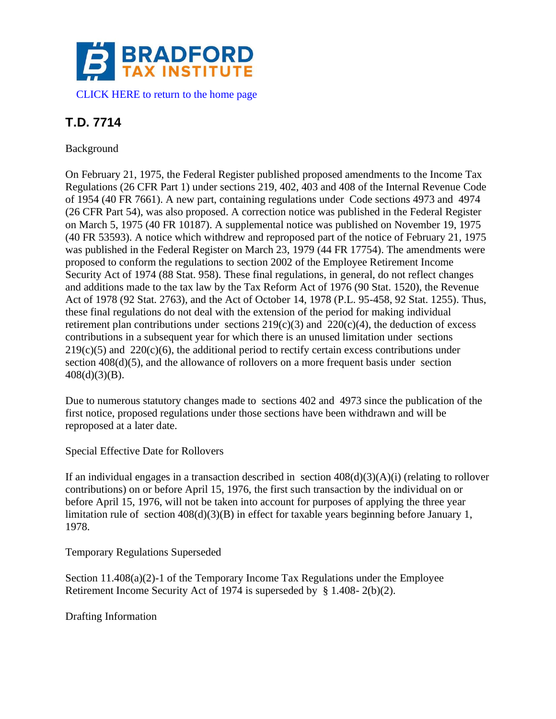

# **T.D. 7714**

Background

On February 21, 1975, the Federal Register published proposed amendments to the Income Tax Regulations (26 CFR Part 1) under sections 219, 402, 403 and 408 of the Internal Revenue Code of 1954 (40 FR 7661). A new part, containing regulations under Code sections 4973 and 4974 (26 CFR Part 54), was also proposed. A correction notice was published in the Federal Register on March 5, 1975 (40 FR 10187). A supplemental notice was published on November 19, 1975 (40 FR 53593). A notice which withdrew and reproposed part of the notice of February 21, 1975 was published in the Federal Register on March 23, 1979 (44 FR 17754). The amendments were proposed to conform the regulations to section 2002 of the Employee Retirement Income Security Act of 1974 (88 Stat. 958). These final regulations, in general, do not reflect changes and additions made to the tax law by the Tax Reform Act of 1976 (90 Stat. 1520), the Revenue Act of 1978 (92 Stat. 2763), and the Act of October 14, 1978 (P.L. 95-458, 92 Stat. 1255). Thus, these final regulations do not deal with the extension of the period for making individual retirement plan contributions under sections  $219(c)(3)$  and  $220(c)(4)$ , the deduction of excess contributions in a subsequent year for which there is an unused limitation under sections  $219(c)(5)$  and  $220(c)(6)$ , the additional period to rectify certain excess contributions under section  $408(d)(5)$ , and the allowance of rollovers on a more frequent basis under section  $408(d)(3)(B)$ .

Due to numerous statutory changes made to sections 402 and 4973 since the publication of the first notice, proposed regulations under those sections have been withdrawn and will be reproposed at a later date.

Special Effective Date for Rollovers

If an individual engages in a transaction described in section  $408(d)(3)(A)(i)$  (relating to rollover contributions) on or before April 15, 1976, the first such transaction by the individual on or before April 15, 1976, will not be taken into account for purposes of applying the three year limitation rule of section 408(d)(3)(B) in effect for taxable years beginning before January 1, 1978.

Temporary Regulations Superseded

Section  $11.408(a)(2)-1$  of the Temporary Income Tax Regulations under the Employee Retirement Income Security Act of 1974 is superseded by § 1.408- 2(b)(2).

Drafting Information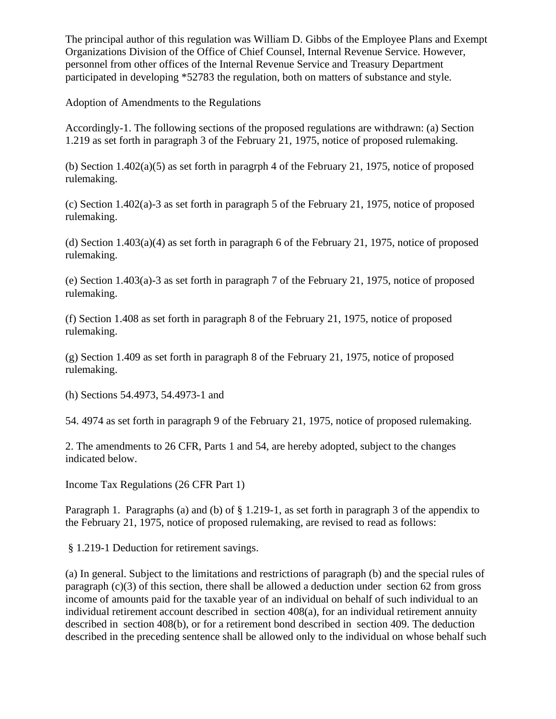The principal author of this regulation was William D. Gibbs of the Employee Plans and Exempt Organizations Division of the Office of Chief Counsel, Internal Revenue Service. However, personnel from other offices of the Internal Revenue Service and Treasury Department participated in developing \*52783 the regulation, both on matters of substance and style.

Adoption of Amendments to the Regulations

Accordingly-1. The following sections of the proposed regulations are withdrawn: (a) Section 1.219 as set forth in paragraph 3 of the February 21, 1975, notice of proposed rulemaking.

(b) Section 1.402(a)(5) as set forth in paragrph 4 of the February 21, 1975, notice of proposed rulemaking.

(c) Section 1.402(a)-3 as set forth in paragraph 5 of the February 21, 1975, notice of proposed rulemaking.

(d) Section 1.403(a)(4) as set forth in paragraph 6 of the February 21, 1975, notice of proposed rulemaking.

(e) Section 1.403(a)-3 as set forth in paragraph 7 of the February 21, 1975, notice of proposed rulemaking.

(f) Section 1.408 as set forth in paragraph 8 of the February 21, 1975, notice of proposed rulemaking.

(g) Section 1.409 as set forth in paragraph 8 of the February 21, 1975, notice of proposed rulemaking.

(h) Sections 54.4973, 54.4973-1 and

54. 4974 as set forth in paragraph 9 of the February 21, 1975, notice of proposed rulemaking.

2. The amendments to 26 CFR, Parts 1 and 54, are hereby adopted, subject to the changes indicated below.

Income Tax Regulations (26 CFR Part 1)

Paragraph 1. Paragraphs (a) and (b) of § 1.219-1, as set forth in paragraph 3 of the appendix to the February 21, 1975, notice of proposed rulemaking, are revised to read as follows:

§ 1.219-1 Deduction for retirement savings.

(a) In general. Subject to the limitations and restrictions of paragraph (b) and the special rules of paragraph (c)(3) of this section, there shall be allowed a deduction under section 62 from gross income of amounts paid for the taxable year of an individual on behalf of such individual to an individual retirement account described in section 408(a), for an individual retirement annuity described in section 408(b), or for a retirement bond described in section 409. The deduction described in the preceding sentence shall be allowed only to the individual on whose behalf such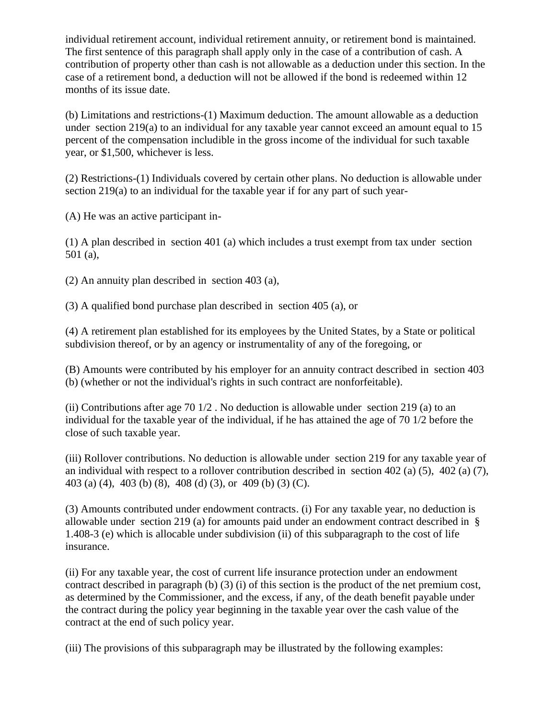individual retirement account, individual retirement annuity, or retirement bond is maintained. The first sentence of this paragraph shall apply only in the case of a contribution of cash. A contribution of property other than cash is not allowable as a deduction under this section. In the case of a retirement bond, a deduction will not be allowed if the bond is redeemed within 12 months of its issue date.

(b) Limitations and restrictions-(1) Maximum deduction. The amount allowable as a deduction under section 219(a) to an individual for any taxable year cannot exceed an amount equal to 15 percent of the compensation includible in the gross income of the individual for such taxable year, or \$1,500, whichever is less.

(2) Restrictions-(1) Individuals covered by certain other plans. No deduction is allowable under section 219(a) to an individual for the taxable year if for any part of such year-

(A) He was an active participant in-

(1) A plan described in section 401 (a) which includes a trust exempt from tax under section 501 (a),

(2) An annuity plan described in section 403 (a),

(3) A qualified bond purchase plan described in section 405 (a), or

(4) A retirement plan established for its employees by the United States, by a State or political subdivision thereof, or by an agency or instrumentality of any of the foregoing, or

(B) Amounts were contributed by his employer for an annuity contract described in section 403 (b) (whether or not the individual's rights in such contract are nonforfeitable).

(ii) Contributions after age 70  $1/2$ . No deduction is allowable under section 219 (a) to an individual for the taxable year of the individual, if he has attained the age of 70 1/2 before the close of such taxable year.

(iii) Rollover contributions. No deduction is allowable under section 219 for any taxable year of an individual with respect to a rollover contribution described in section 402 (a) (5), 402 (a) (7), 403 (a) (4), 403 (b) (8), 408 (d) (3), or 409 (b) (3) (C).

(3) Amounts contributed under endowment contracts. (i) For any taxable year, no deduction is allowable under section 219 (a) for amounts paid under an endowment contract described in § 1.408-3 (e) which is allocable under subdivision (ii) of this subparagraph to the cost of life insurance.

(ii) For any taxable year, the cost of current life insurance protection under an endowment contract described in paragraph (b) (3) (i) of this section is the product of the net premium cost, as determined by the Commissioner, and the excess, if any, of the death benefit payable under the contract during the policy year beginning in the taxable year over the cash value of the contract at the end of such policy year.

(iii) The provisions of this subparagraph may be illustrated by the following examples: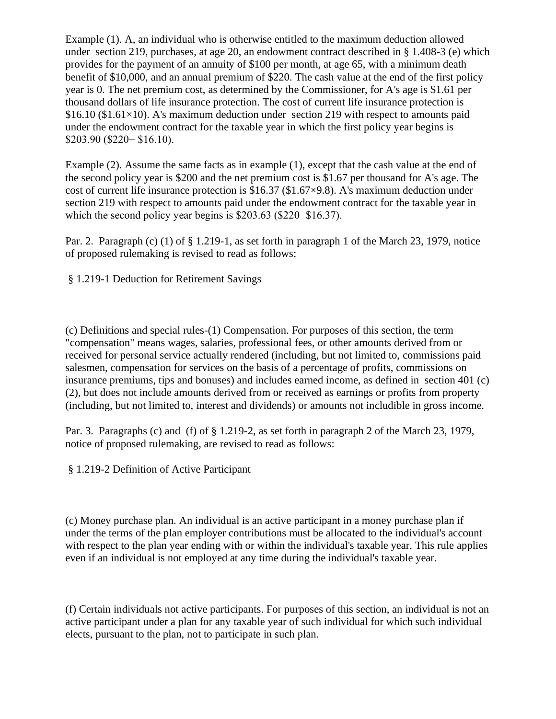Example (1). A, an individual who is otherwise entitled to the maximum deduction allowed under section 219, purchases, at age 20, an endowment contract described in § 1.408-3 (e) which provides for the payment of an annuity of \$100 per month, at age 65, with a minimum death benefit of \$10,000, and an annual premium of \$220. The cash value at the end of the first policy year is 0. The net premium cost, as determined by the Commissioner, for A's age is \$1.61 per thousand dollars of life insurance protection. The cost of current life insurance protection is  $$16.10$  ( $$1.61\times10$ ). A's maximum deduction under section 219 with respect to amounts paid under the endowment contract for the taxable year in which the first policy year begins is \$203.90 (\$220− \$16.10).

Example (2). Assume the same facts as in example (1), except that the cash value at the end of the second policy year is \$200 and the net premium cost is \$1.67 per thousand for A's age. The cost of current life insurance protection is \$16.37 (\$1.67×9.8). A's maximum deduction under section 219 with respect to amounts paid under the endowment contract for the taxable year in which the second policy year begins is \$203.63 (\$220−\$16.37).

Par. 2. Paragraph (c) (1) of § 1.219-1, as set forth in paragraph 1 of the March 23, 1979, notice of proposed rulemaking is revised to read as follows:

§ 1.219-1 Deduction for Retirement Savings

(c) Definitions and special rules-(1) Compensation. For purposes of this section, the term "compensation" means wages, salaries, professional fees, or other amounts derived from or received for personal service actually rendered (including, but not limited to, commissions paid salesmen, compensation for services on the basis of a percentage of profits, commissions on insurance premiums, tips and bonuses) and includes earned income, as defined in section 401 (c) (2), but does not include amounts derived from or received as earnings or profits from property (including, but not limited to, interest and dividends) or amounts not includible in gross income.

Par. 3. Paragraphs (c) and (f) of § 1.219-2, as set forth in paragraph 2 of the March 23, 1979, notice of proposed rulemaking, are revised to read as follows:

§ 1.219-2 Definition of Active Participant

(c) Money purchase plan. An individual is an active participant in a money purchase plan if under the terms of the plan employer contributions must be allocated to the individual's account with respect to the plan year ending with or within the individual's taxable year. This rule applies even if an individual is not employed at any time during the individual's taxable year.

(f) Certain individuals not active participants. For purposes of this section, an individual is not an active participant under a plan for any taxable year of such individual for which such individual elects, pursuant to the plan, not to participate in such plan.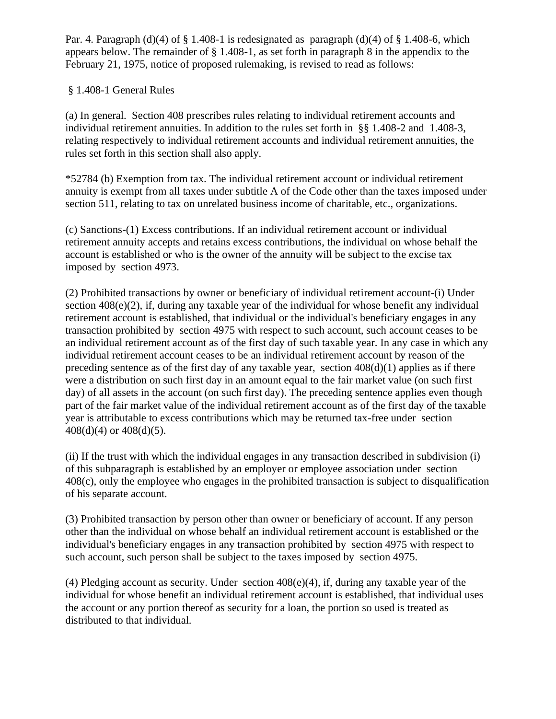Par. 4. Paragraph (d)(4) of  $\S 1.408-1$  is redesignated as paragraph (d)(4) of  $\S 1.408-6$ , which appears below. The remainder of § 1.408-1, as set forth in paragraph 8 in the appendix to the February 21, 1975, notice of proposed rulemaking, is revised to read as follows:

§ 1.408-1 General Rules

(a) In general. Section 408 prescribes rules relating to individual retirement accounts and individual retirement annuities. In addition to the rules set forth in §§ 1.408-2 and 1.408-3, relating respectively to individual retirement accounts and individual retirement annuities, the rules set forth in this section shall also apply.

\*52784 (b) Exemption from tax. The individual retirement account or individual retirement annuity is exempt from all taxes under subtitle A of the Code other than the taxes imposed under section 511, relating to tax on unrelated business income of charitable, etc., organizations.

(c) Sanctions-(1) Excess contributions. If an individual retirement account or individual retirement annuity accepts and retains excess contributions, the individual on whose behalf the account is established or who is the owner of the annuity will be subject to the excise tax imposed by section 4973.

(2) Prohibited transactions by owner or beneficiary of individual retirement account-(i) Under section 408(e)(2), if, during any taxable year of the individual for whose benefit any individual retirement account is established, that individual or the individual's beneficiary engages in any transaction prohibited by section 4975 with respect to such account, such account ceases to be an individual retirement account as of the first day of such taxable year. In any case in which any individual retirement account ceases to be an individual retirement account by reason of the preceding sentence as of the first day of any taxable year, section 408(d)(1) applies as if there were a distribution on such first day in an amount equal to the fair market value (on such first day) of all assets in the account (on such first day). The preceding sentence applies even though part of the fair market value of the individual retirement account as of the first day of the taxable year is attributable to excess contributions which may be returned tax-free under section 408(d)(4) or 408(d)(5).

(ii) If the trust with which the individual engages in any transaction described in subdivision (i) of this subparagraph is established by an employer or employee association under section 408(c), only the employee who engages in the prohibited transaction is subject to disqualification of his separate account.

(3) Prohibited transaction by person other than owner or beneficiary of account. If any person other than the individual on whose behalf an individual retirement account is established or the individual's beneficiary engages in any transaction prohibited by section 4975 with respect to such account, such person shall be subject to the taxes imposed by section 4975.

(4) Pledging account as security. Under section  $408(e)(4)$ , if, during any taxable year of the individual for whose benefit an individual retirement account is established, that individual uses the account or any portion thereof as security for a loan, the portion so used is treated as distributed to that individual.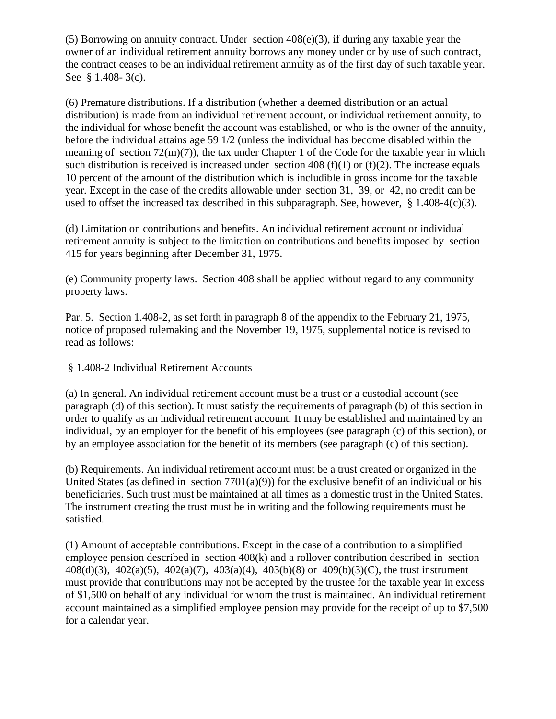(5) Borrowing on annuity contract. Under section 408(e)(3), if during any taxable year the owner of an individual retirement annuity borrows any money under or by use of such contract, the contract ceases to be an individual retirement annuity as of the first day of such taxable year. See § 1.408-3(c).

(6) Premature distributions. If a distribution (whether a deemed distribution or an actual distribution) is made from an individual retirement account, or individual retirement annuity, to the individual for whose benefit the account was established, or who is the owner of the annuity, before the individual attains age 59 1/2 (unless the individual has become disabled within the meaning of section  $72(m)(7)$ , the tax under Chapter 1 of the Code for the taxable year in which such distribution is received is increased under section 408 (f)(1) or (f)(2). The increase equals 10 percent of the amount of the distribution which is includible in gross income for the taxable year. Except in the case of the credits allowable under section 31, 39, or 42, no credit can be used to offset the increased tax described in this subparagraph. See, however, § 1.408-4(c)(3).

(d) Limitation on contributions and benefits. An individual retirement account or individual retirement annuity is subject to the limitation on contributions and benefits imposed by section 415 for years beginning after December 31, 1975.

(e) Community property laws. Section 408 shall be applied without regard to any community property laws.

Par. 5. Section 1.408-2, as set forth in paragraph 8 of the appendix to the February 21, 1975, notice of proposed rulemaking and the November 19, 1975, supplemental notice is revised to read as follows:

### § 1.408-2 Individual Retirement Accounts

(a) In general. An individual retirement account must be a trust or a custodial account (see paragraph (d) of this section). It must satisfy the requirements of paragraph (b) of this section in order to qualify as an individual retirement account. It may be established and maintained by an individual, by an employer for the benefit of his employees (see paragraph (c) of this section), or by an employee association for the benefit of its members (see paragraph (c) of this section).

(b) Requirements. An individual retirement account must be a trust created or organized in the United States (as defined in section  $7701(a)(9)$ ) for the exclusive benefit of an individual or his beneficiaries. Such trust must be maintained at all times as a domestic trust in the United States. The instrument creating the trust must be in writing and the following requirements must be satisfied.

(1) Amount of acceptable contributions. Except in the case of a contribution to a simplified employee pension described in section 408(k) and a rollover contribution described in section 408(d)(3), 402(a)(5), 402(a)(7), 403(a)(4), 403(b)(8) or 409(b)(3)(C), the trust instrument must provide that contributions may not be accepted by the trustee for the taxable year in excess of \$1,500 on behalf of any individual for whom the trust is maintained. An individual retirement account maintained as a simplified employee pension may provide for the receipt of up to \$7,500 for a calendar year.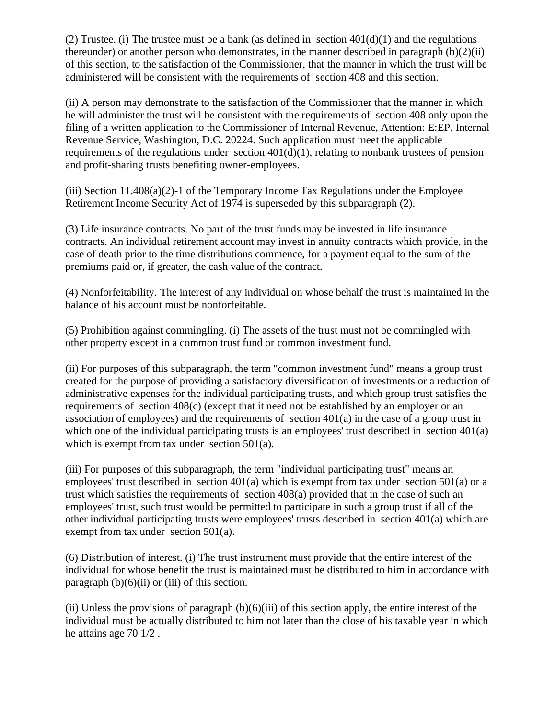(2) Trustee. (i) The trustee must be a bank (as defined in section  $401(d)(1)$  and the regulations thereunder) or another person who demonstrates, in the manner described in paragraph  $(b)(2)(ii)$ of this section, to the satisfaction of the Commissioner, that the manner in which the trust will be administered will be consistent with the requirements of section 408 and this section.

(ii) A person may demonstrate to the satisfaction of the Commissioner that the manner in which he will administer the trust will be consistent with the requirements of section 408 only upon the filing of a written application to the Commissioner of Internal Revenue, Attention: E:EP, Internal Revenue Service, Washington, D.C. 20224. Such application must meet the applicable requirements of the regulations under section  $401(d)(1)$ , relating to nonbank trustees of pension and profit-sharing trusts benefiting owner-employees.

(iii) Section  $11.408(a)(2)-1$  of the Temporary Income Tax Regulations under the Employee Retirement Income Security Act of 1974 is superseded by this subparagraph (2).

(3) Life insurance contracts. No part of the trust funds may be invested in life insurance contracts. An individual retirement account may invest in annuity contracts which provide, in the case of death prior to the time distributions commence, for a payment equal to the sum of the premiums paid or, if greater, the cash value of the contract.

(4) Nonforfeitability. The interest of any individual on whose behalf the trust is maintained in the balance of his account must be nonforfeitable.

(5) Prohibition against commingling. (i) The assets of the trust must not be commingled with other property except in a common trust fund or common investment fund.

(ii) For purposes of this subparagraph, the term "common investment fund" means a group trust created for the purpose of providing a satisfactory diversification of investments or a reduction of administrative expenses for the individual participating trusts, and which group trust satisfies the requirements of section 408(c) (except that it need not be established by an employer or an association of employees) and the requirements of section  $401(a)$  in the case of a group trust in which one of the individual participating trusts is an employees' trust described in section 401(a) which is exempt from tax under section 501(a).

(iii) For purposes of this subparagraph, the term "individual participating trust" means an employees' trust described in section  $401(a)$  which is exempt from tax under section  $501(a)$  or a trust which satisfies the requirements of section 408(a) provided that in the case of such an employees' trust, such trust would be permitted to participate in such a group trust if all of the other individual participating trusts were employees' trusts described in section 401(a) which are exempt from tax under section 501(a).

(6) Distribution of interest. (i) The trust instrument must provide that the entire interest of the individual for whose benefit the trust is maintained must be distributed to him in accordance with paragraph  $(b)(6)(ii)$  or  $(iii)$  of this section.

(ii) Unless the provisions of paragraph  $(b)(6)(iii)$  of this section apply, the entire interest of the individual must be actually distributed to him not later than the close of his taxable year in which he attains age 70 1/2 .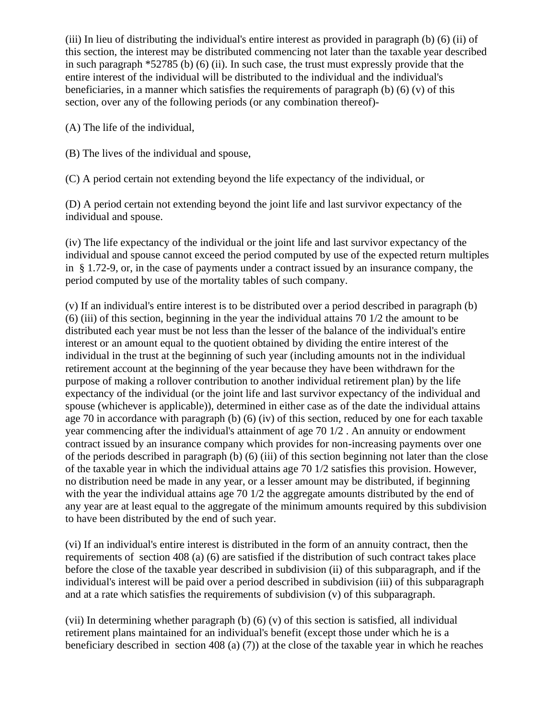(iii) In lieu of distributing the individual's entire interest as provided in paragraph (b) (6) (ii) of this section, the interest may be distributed commencing not later than the taxable year described in such paragraph \*52785 (b) (6) (ii). In such case, the trust must expressly provide that the entire interest of the individual will be distributed to the individual and the individual's beneficiaries, in a manner which satisfies the requirements of paragraph  $(b)$   $(6)$   $(v)$  of this section, over any of the following periods (or any combination thereof)-

(A) The life of the individual,

(B) The lives of the individual and spouse,

(C) A period certain not extending beyond the life expectancy of the individual, or

(D) A period certain not extending beyond the joint life and last survivor expectancy of the individual and spouse.

(iv) The life expectancy of the individual or the joint life and last survivor expectancy of the individual and spouse cannot exceed the period computed by use of the expected return multiples in § 1.72-9, or, in the case of payments under a contract issued by an insurance company, the period computed by use of the mortality tables of such company.

(v) If an individual's entire interest is to be distributed over a period described in paragraph (b) (6) (iii) of this section, beginning in the year the individual attains 70 1/2 the amount to be distributed each year must be not less than the lesser of the balance of the individual's entire interest or an amount equal to the quotient obtained by dividing the entire interest of the individual in the trust at the beginning of such year (including amounts not in the individual retirement account at the beginning of the year because they have been withdrawn for the purpose of making a rollover contribution to another individual retirement plan) by the life expectancy of the individual (or the joint life and last survivor expectancy of the individual and spouse (whichever is applicable)), determined in either case as of the date the individual attains age 70 in accordance with paragraph (b)  $(6)$  (iv) of this section, reduced by one for each taxable year commencing after the individual's attainment of age 70 1/2 . An annuity or endowment contract issued by an insurance company which provides for non-increasing payments over one of the periods described in paragraph (b) (6) (iii) of this section beginning not later than the close of the taxable year in which the individual attains age 70 1/2 satisfies this provision. However, no distribution need be made in any year, or a lesser amount may be distributed, if beginning with the year the individual attains age 70  $1/2$  the aggregate amounts distributed by the end of any year are at least equal to the aggregate of the minimum amounts required by this subdivision to have been distributed by the end of such year.

(vi) If an individual's entire interest is distributed in the form of an annuity contract, then the requirements of section 408 (a) (6) are satisfied if the distribution of such contract takes place before the close of the taxable year described in subdivision (ii) of this subparagraph, and if the individual's interest will be paid over a period described in subdivision (iii) of this subparagraph and at a rate which satisfies the requirements of subdivision (v) of this subparagraph.

(vii) In determining whether paragraph (b)  $(6)$  (v) of this section is satisfied, all individual retirement plans maintained for an individual's benefit (except those under which he is a beneficiary described in section 408 (a) (7)) at the close of the taxable year in which he reaches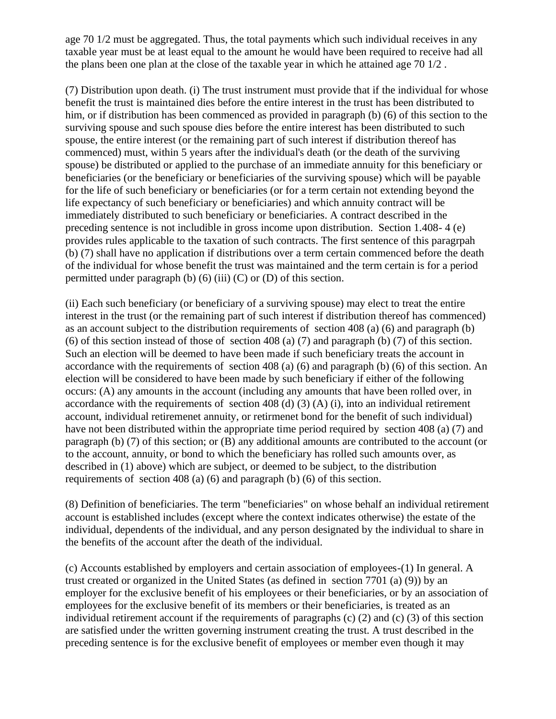age 70 1/2 must be aggregated. Thus, the total payments which such individual receives in any taxable year must be at least equal to the amount he would have been required to receive had all the plans been one plan at the close of the taxable year in which he attained age 70 1/2 .

(7) Distribution upon death. (i) The trust instrument must provide that if the individual for whose benefit the trust is maintained dies before the entire interest in the trust has been distributed to him, or if distribution has been commenced as provided in paragraph (b) (6) of this section to the surviving spouse and such spouse dies before the entire interest has been distributed to such spouse, the entire interest (or the remaining part of such interest if distribution thereof has commenced) must, within 5 years after the individual's death (or the death of the surviving spouse) be distributed or applied to the purchase of an immediate annuity for this beneficiary or beneficiaries (or the beneficiary or beneficiaries of the surviving spouse) which will be payable for the life of such beneficiary or beneficiaries (or for a term certain not extending beyond the life expectancy of such beneficiary or beneficiaries) and which annuity contract will be immediately distributed to such beneficiary or beneficiaries. A contract described in the preceding sentence is not includible in gross income upon distribution. Section 1.408- 4 (e) provides rules applicable to the taxation of such contracts. The first sentence of this paragrpah (b) (7) shall have no application if distributions over a term certain commenced before the death of the individual for whose benefit the trust was maintained and the term certain is for a period permitted under paragraph (b)  $(6)$  (iii)  $(C)$  or  $(D)$  of this section.

(ii) Each such beneficiary (or beneficiary of a surviving spouse) may elect to treat the entire interest in the trust (or the remaining part of such interest if distribution thereof has commenced) as an account subject to the distribution requirements of section 408 (a) (6) and paragraph (b) (6) of this section instead of those of section 408 (a) (7) and paragraph (b) (7) of this section. Such an election will be deemed to have been made if such beneficiary treats the account in accordance with the requirements of section 408 (a) (6) and paragraph (b) (6) of this section. An election will be considered to have been made by such beneficiary if either of the following occurs: (A) any amounts in the account (including any amounts that have been rolled over, in accordance with the requirements of section 408 (d) (3) (A) (i), into an individual retirement account, individual retiremenet annuity, or retirmenet bond for the benefit of such individual) have not been distributed within the appropriate time period required by section 408 (a) (7) and paragraph (b) (7) of this section; or (B) any additional amounts are contributed to the account (or to the account, annuity, or bond to which the beneficiary has rolled such amounts over, as described in (1) above) which are subject, or deemed to be subject, to the distribution requirements of section 408 (a) (6) and paragraph (b) (6) of this section.

(8) Definition of beneficiaries. The term "beneficiaries" on whose behalf an individual retirement account is established includes (except where the context indicates otherwise) the estate of the individual, dependents of the individual, and any person designated by the individual to share in the benefits of the account after the death of the individual.

(c) Accounts established by employers and certain association of employees-(1) In general. A trust created or organized in the United States (as defined in section 7701 (a) (9)) by an employer for the exclusive benefit of his employees or their beneficiaries, or by an association of employees for the exclusive benefit of its members or their beneficiaries, is treated as an individual retirement account if the requirements of paragraphs (c) (2) and (c) (3) of this section are satisfied under the written governing instrument creating the trust. A trust described in the preceding sentence is for the exclusive benefit of employees or member even though it may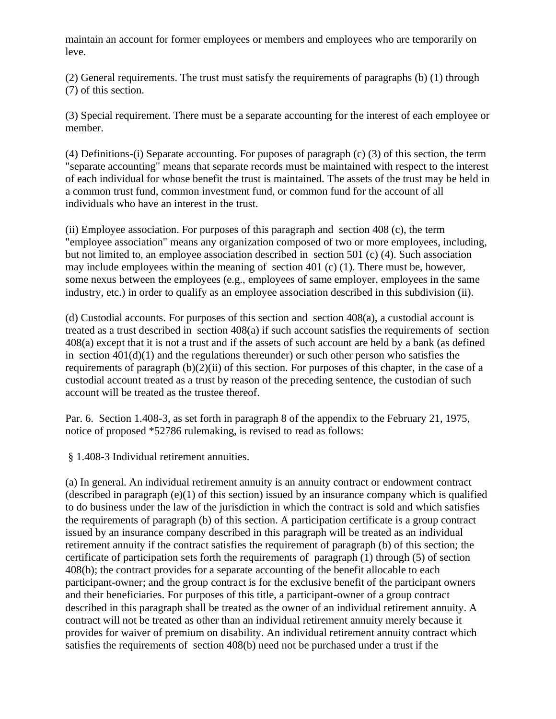maintain an account for former employees or members and employees who are temporarily on leve.

(2) General requirements. The trust must satisfy the requirements of paragraphs (b) (1) through (7) of this section.

(3) Special requirement. There must be a separate accounting for the interest of each employee or member.

(4) Definitions-(i) Separate accounting. For puposes of paragraph (c) (3) of this section, the term "separate accounting" means that separate records must be maintained with respect to the interest of each individual for whose benefit the trust is maintained. The assets of the trust may be held in a common trust fund, common investment fund, or common fund for the account of all individuals who have an interest in the trust.

(ii) Employee association. For purposes of this paragraph and section 408 (c), the term "employee association" means any organization composed of two or more employees, including, but not limited to, an employee association described in section 501 (c) (4). Such association may include employees within the meaning of section 401 (c) (1). There must be, however, some nexus between the employees (e.g., employees of same employer, employees in the same industry, etc.) in order to qualify as an employee association described in this subdivision (ii).

(d) Custodial accounts. For purposes of this section and section 408(a), a custodial account is treated as a trust described in section 408(a) if such account satisfies the requirements of section 408(a) except that it is not a trust and if the assets of such account are held by a bank (as defined in section  $401(d)(1)$  and the regulations thereunder) or such other person who satisfies the requirements of paragraph (b)(2)(ii) of this section. For purposes of this chapter, in the case of a custodial account treated as a trust by reason of the preceding sentence, the custodian of such account will be treated as the trustee thereof.

Par. 6. Section 1.408-3, as set forth in paragraph 8 of the appendix to the February 21, 1975, notice of proposed \*52786 rulemaking, is revised to read as follows:

§ 1.408-3 Individual retirement annuities.

(a) In general. An individual retirement annuity is an annuity contract or endowment contract (described in paragraph  $(e)(1)$  of this section) issued by an insurance company which is qualified to do business under the law of the jurisdiction in which the contract is sold and which satisfies the requirements of paragraph (b) of this section. A participation certificate is a group contract issued by an insurance company described in this paragraph will be treated as an individual retirement annuity if the contract satisfies the requirement of paragraph (b) of this section; the certificate of participation sets forth the requirements of paragraph (1) through (5) of section 408(b); the contract provides for a separate accounting of the benefit allocable to each participant-owner; and the group contract is for the exclusive benefit of the participant owners and their beneficiaries. For purposes of this title, a participant-owner of a group contract described in this paragraph shall be treated as the owner of an individual retirement annuity. A contract will not be treated as other than an individual retirement annuity merely because it provides for waiver of premium on disability. An individual retirement annuity contract which satisfies the requirements of section 408(b) need not be purchased under a trust if the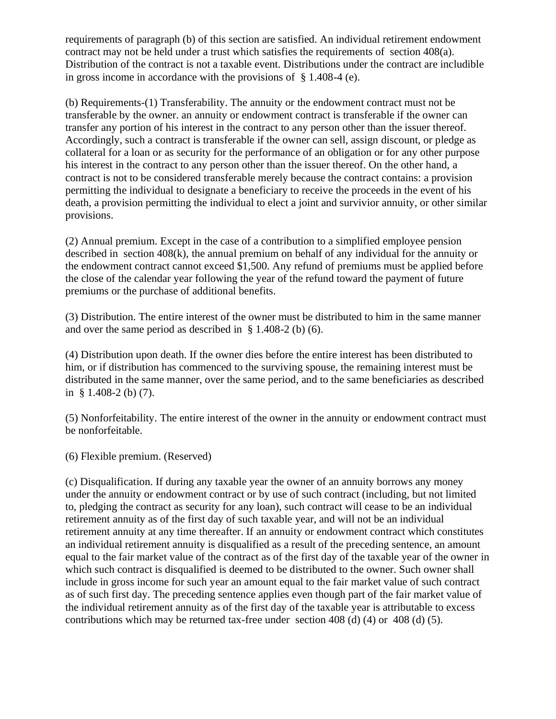requirements of paragraph (b) of this section are satisfied. An individual retirement endowment contract may not be held under a trust which satisfies the requirements of section 408(a). Distribution of the contract is not a taxable event. Distributions under the contract are includible in gross income in accordance with the provisions of § 1.408-4 (e).

(b) Requirements-(1) Transferability. The annuity or the endowment contract must not be transferable by the owner. an annuity or endowment contract is transferable if the owner can transfer any portion of his interest in the contract to any person other than the issuer thereof. Accordingly, such a contract is transferable if the owner can sell, assign discount, or pledge as collateral for a loan or as security for the performance of an obligation or for any other purpose his interest in the contract to any person other than the issuer thereof. On the other hand, a contract is not to be considered transferable merely because the contract contains: a provision permitting the individual to designate a beneficiary to receive the proceeds in the event of his death, a provision permitting the individual to elect a joint and survivior annuity, or other similar provisions.

(2) Annual premium. Except in the case of a contribution to a simplified employee pension described in section 408(k), the annual premium on behalf of any individual for the annuity or the endowment contract cannot exceed \$1,500. Any refund of premiums must be applied before the close of the calendar year following the year of the refund toward the payment of future premiums or the purchase of additional benefits.

(3) Distribution. The entire interest of the owner must be distributed to him in the same manner and over the same period as described in § 1.408-2 (b) (6).

(4) Distribution upon death. If the owner dies before the entire interest has been distributed to him, or if distribution has commenced to the surviving spouse, the remaining interest must be distributed in the same manner, over the same period, and to the same beneficiaries as described in § 1.408-2 (b) (7).

(5) Nonforfeitability. The entire interest of the owner in the annuity or endowment contract must be nonforfeitable.

(6) Flexible premium. (Reserved)

(c) Disqualification. If during any taxable year the owner of an annuity borrows any money under the annuity or endowment contract or by use of such contract (including, but not limited to, pledging the contract as security for any loan), such contract will cease to be an individual retirement annuity as of the first day of such taxable year, and will not be an individual retirement annuity at any time thereafter. If an annuity or endowment contract which constitutes an individual retirement annuity is disqualified as a result of the preceding sentence, an amount equal to the fair market value of the contract as of the first day of the taxable year of the owner in which such contract is disqualified is deemed to be distributed to the owner. Such owner shall include in gross income for such year an amount equal to the fair market value of such contract as of such first day. The preceding sentence applies even though part of the fair market value of the individual retirement annuity as of the first day of the taxable year is attributable to excess contributions which may be returned tax-free under section 408 (d) (4) or 408 (d) (5).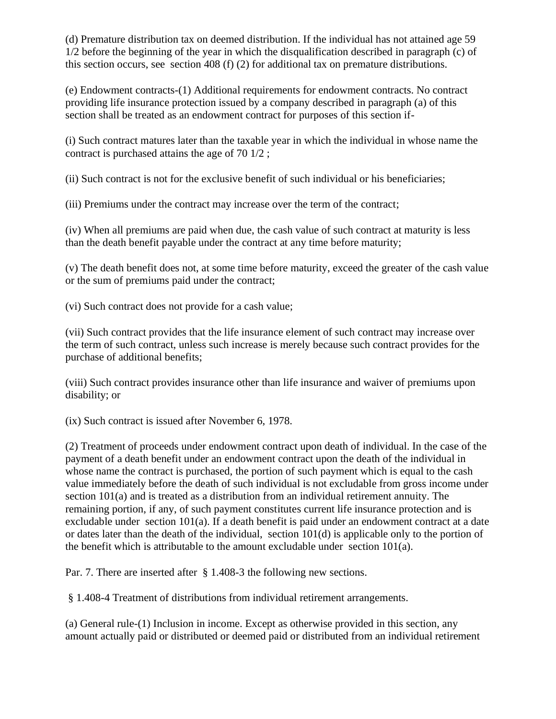(d) Premature distribution tax on deemed distribution. If the individual has not attained age 59 1/2 before the beginning of the year in which the disqualification described in paragraph (c) of this section occurs, see section 408 (f) (2) for additional tax on premature distributions.

(e) Endowment contracts-(1) Additional requirements for endowment contracts. No contract providing life insurance protection issued by a company described in paragraph (a) of this section shall be treated as an endowment contract for purposes of this section if-

(i) Such contract matures later than the taxable year in which the individual in whose name the contract is purchased attains the age of 70 1/2 ;

(ii) Such contract is not for the exclusive benefit of such individual or his beneficiaries;

(iii) Premiums under the contract may increase over the term of the contract;

(iv) When all premiums are paid when due, the cash value of such contract at maturity is less than the death benefit payable under the contract at any time before maturity;

(v) The death benefit does not, at some time before maturity, exceed the greater of the cash value or the sum of premiums paid under the contract;

(vi) Such contract does not provide for a cash value;

(vii) Such contract provides that the life insurance element of such contract may increase over the term of such contract, unless such increase is merely because such contract provides for the purchase of additional benefits;

(viii) Such contract provides insurance other than life insurance and waiver of premiums upon disability; or

(ix) Such contract is issued after November 6, 1978.

(2) Treatment of proceeds under endowment contract upon death of individual. In the case of the payment of a death benefit under an endowment contract upon the death of the individual in whose name the contract is purchased, the portion of such payment which is equal to the cash value immediately before the death of such individual is not excludable from gross income under section 101(a) and is treated as a distribution from an individual retirement annuity. The remaining portion, if any, of such payment constitutes current life insurance protection and is excludable under section 101(a). If a death benefit is paid under an endowment contract at a date or dates later than the death of the individual, section 101(d) is applicable only to the portion of the benefit which is attributable to the amount excludable under section  $101(a)$ .

Par. 7. There are inserted after § 1.408-3 the following new sections.

§ 1.408-4 Treatment of distributions from individual retirement arrangements.

(a) General rule-(1) Inclusion in income. Except as otherwise provided in this section, any amount actually paid or distributed or deemed paid or distributed from an individual retirement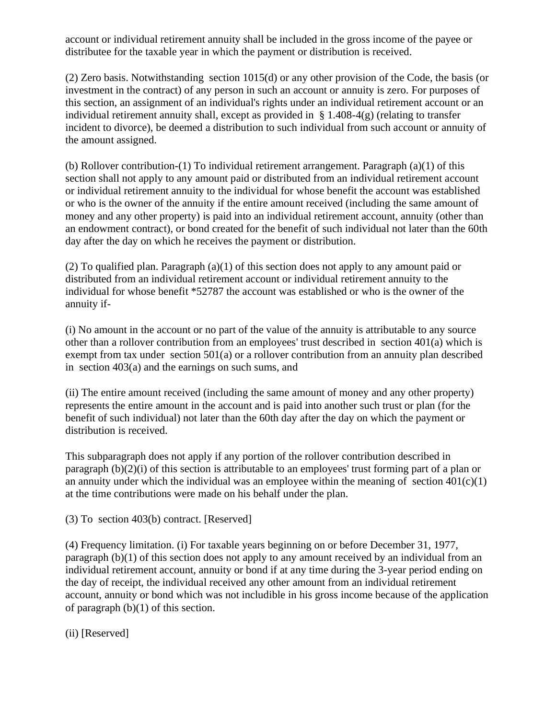account or individual retirement annuity shall be included in the gross income of the payee or distributee for the taxable year in which the payment or distribution is received.

(2) Zero basis. Notwithstanding section 1015(d) or any other provision of the Code, the basis (or investment in the contract) of any person in such an account or annuity is zero. For purposes of this section, an assignment of an individual's rights under an individual retirement account or an individual retirement annuity shall, except as provided in  $\S$  1.408-4(g) (relating to transfer incident to divorce), be deemed a distribution to such individual from such account or annuity of the amount assigned.

(b) Rollover contribution-(1) To individual retirement arrangement. Paragraph (a)(1) of this section shall not apply to any amount paid or distributed from an individual retirement account or individual retirement annuity to the individual for whose benefit the account was established or who is the owner of the annuity if the entire amount received (including the same amount of money and any other property) is paid into an individual retirement account, annuity (other than an endowment contract), or bond created for the benefit of such individual not later than the 60th day after the day on which he receives the payment or distribution.

(2) To qualified plan. Paragraph (a)(1) of this section does not apply to any amount paid or distributed from an individual retirement account or individual retirement annuity to the individual for whose benefit \*52787 the account was established or who is the owner of the annuity if-

(i) No amount in the account or no part of the value of the annuity is attributable to any source other than a rollover contribution from an employees' trust described in section 401(a) which is exempt from tax under section 501(a) or a rollover contribution from an annuity plan described in section 403(a) and the earnings on such sums, and

(ii) The entire amount received (including the same amount of money and any other property) represents the entire amount in the account and is paid into another such trust or plan (for the benefit of such individual) not later than the 60th day after the day on which the payment or distribution is received.

This subparagraph does not apply if any portion of the rollover contribution described in paragraph (b)(2)(i) of this section is attributable to an employees' trust forming part of a plan or an annuity under which the individual was an employee within the meaning of section  $401(c)(1)$ at the time contributions were made on his behalf under the plan.

(3) To section 403(b) contract. [Reserved]

(4) Frequency limitation. (i) For taxable years beginning on or before December 31, 1977, paragraph (b)(1) of this section does not apply to any amount received by an individual from an individual retirement account, annuity or bond if at any time during the 3-year period ending on the day of receipt, the individual received any other amount from an individual retirement account, annuity or bond which was not includible in his gross income because of the application of paragraph (b)(1) of this section.

(ii) [Reserved]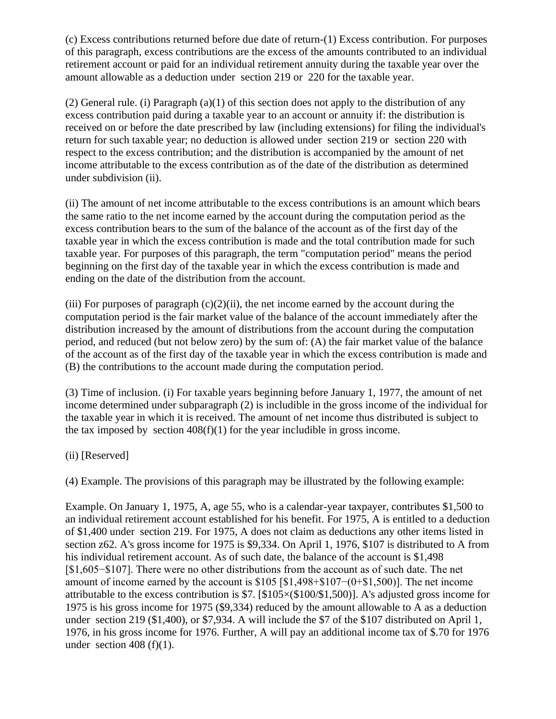(c) Excess contributions returned before due date of return-(1) Excess contribution. For purposes of this paragraph, excess contributions are the excess of the amounts contributed to an individual retirement account or paid for an individual retirement annuity during the taxable year over the amount allowable as a deduction under section 219 or 220 for the taxable year.

(2) General rule. (i) Paragraph (a)(1) of this section does not apply to the distribution of any excess contribution paid during a taxable year to an account or annuity if: the distribution is received on or before the date prescribed by law (including extensions) for filing the individual's return for such taxable year; no deduction is allowed under section 219 or section 220 with respect to the excess contribution; and the distribution is accompanied by the amount of net income attributable to the excess contribution as of the date of the distribution as determined under subdivision (ii).

(ii) The amount of net income attributable to the excess contributions is an amount which bears the same ratio to the net income earned by the account during the computation period as the excess contribution bears to the sum of the balance of the account as of the first day of the taxable year in which the excess contribution is made and the total contribution made for such taxable year. For purposes of this paragraph, the term "computation period" means the period beginning on the first day of the taxable year in which the excess contribution is made and ending on the date of the distribution from the account.

(iii) For purposes of paragraph  $(c)(2)(ii)$ , the net income earned by the account during the computation period is the fair market value of the balance of the account immediately after the distribution increased by the amount of distributions from the account during the computation period, and reduced (but not below zero) by the sum of: (A) the fair market value of the balance of the account as of the first day of the taxable year in which the excess contribution is made and (B) the contributions to the account made during the computation period.

(3) Time of inclusion. (i) For taxable years beginning before January 1, 1977, the amount of net income determined under subparagraph (2) is includible in the gross income of the individual for the taxable year in which it is received. The amount of net income thus distributed is subject to the tax imposed by section  $408(f)(1)$  for the year includible in gross income.

### (ii) [Reserved]

(4) Example. The provisions of this paragraph may be illustrated by the following example:

Example. On January 1, 1975, A, age 55, who is a calendar-year taxpayer, contributes \$1,500 to an individual retirement account established for his benefit. For 1975, A is entitled to a deduction of \$1,400 under section 219. For 1975, A does not claim as deductions any other items listed in section z62. A's gross income for 1975 is \$9,334. On April 1, 1976, \$107 is distributed to A from his individual retirement account. As of such date, the balance of the account is \$1,498 [\$1,605−\$107]. There were no other distributions from the account as of such date. The net amount of income earned by the account is \$105 [\$1,498+\$107−(0+\$1,500)]. The net income attributable to the excess contribution is \$7. [\$105×(\$100/\$1,500)]. A's adjusted gross income for 1975 is his gross income for 1975 (\$9,334) reduced by the amount allowable to A as a deduction under section 219 (\$1,400), or \$7,934. A will include the \$7 of the \$107 distributed on April 1, 1976, in his gross income for 1976. Further, A will pay an additional income tax of \$.70 for 1976 under section 408 (f)(1).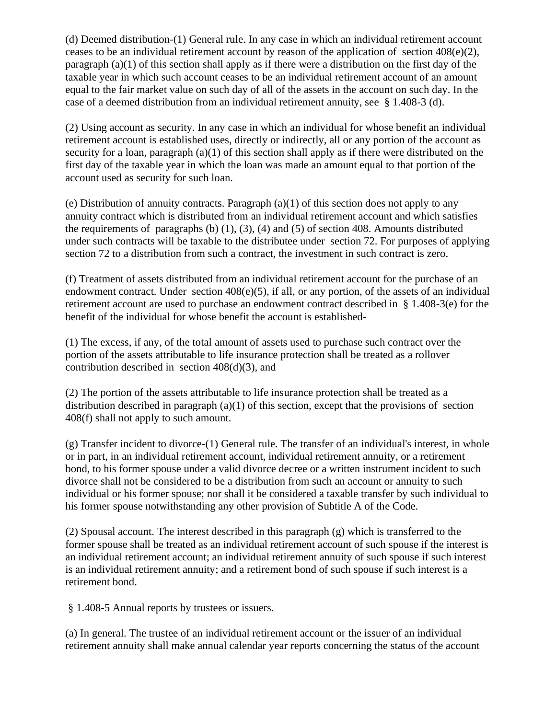(d) Deemed distribution-(1) General rule. In any case in which an individual retirement account ceases to be an individual retirement account by reason of the application of section 408(e)(2), paragraph (a)(1) of this section shall apply as if there were a distribution on the first day of the taxable year in which such account ceases to be an individual retirement account of an amount equal to the fair market value on such day of all of the assets in the account on such day. In the case of a deemed distribution from an individual retirement annuity, see § 1.408-3 (d).

(2) Using account as security. In any case in which an individual for whose benefit an individual retirement account is established uses, directly or indirectly, all or any portion of the account as security for a loan, paragraph (a)(1) of this section shall apply as if there were distributed on the first day of the taxable year in which the loan was made an amount equal to that portion of the account used as security for such loan.

(e) Distribution of annuity contracts. Paragraph  $(a)(1)$  of this section does not apply to any annuity contract which is distributed from an individual retirement account and which satisfies the requirements of paragraphs (b)  $(1)$ ,  $(3)$ ,  $(4)$  and  $(5)$  of section 408. Amounts distributed under such contracts will be taxable to the distributee under section 72. For purposes of applying section 72 to a distribution from such a contract, the investment in such contract is zero.

(f) Treatment of assets distributed from an individual retirement account for the purchase of an endowment contract. Under section 408(e)(5), if all, or any portion, of the assets of an individual retirement account are used to purchase an endowment contract described in § 1.408-3(e) for the benefit of the individual for whose benefit the account is established-

(1) The excess, if any, of the total amount of assets used to purchase such contract over the portion of the assets attributable to life insurance protection shall be treated as a rollover contribution described in section  $408(d)(3)$ , and

(2) The portion of the assets attributable to life insurance protection shall be treated as a distribution described in paragraph (a)(1) of this section, except that the provisions of section 408(f) shall not apply to such amount.

(g) Transfer incident to divorce-(1) General rule. The transfer of an individual's interest, in whole or in part, in an individual retirement account, individual retirement annuity, or a retirement bond, to his former spouse under a valid divorce decree or a written instrument incident to such divorce shall not be considered to be a distribution from such an account or annuity to such individual or his former spouse; nor shall it be considered a taxable transfer by such individual to his former spouse notwithstanding any other provision of Subtitle A of the Code.

(2) Spousal account. The interest described in this paragraph (g) which is transferred to the former spouse shall be treated as an individual retirement account of such spouse if the interest is an individual retirement account; an individual retirement annuity of such spouse if such interest is an individual retirement annuity; and a retirement bond of such spouse if such interest is a retirement bond.

§ 1.408-5 Annual reports by trustees or issuers.

(a) In general. The trustee of an individual retirement account or the issuer of an individual retirement annuity shall make annual calendar year reports concerning the status of the account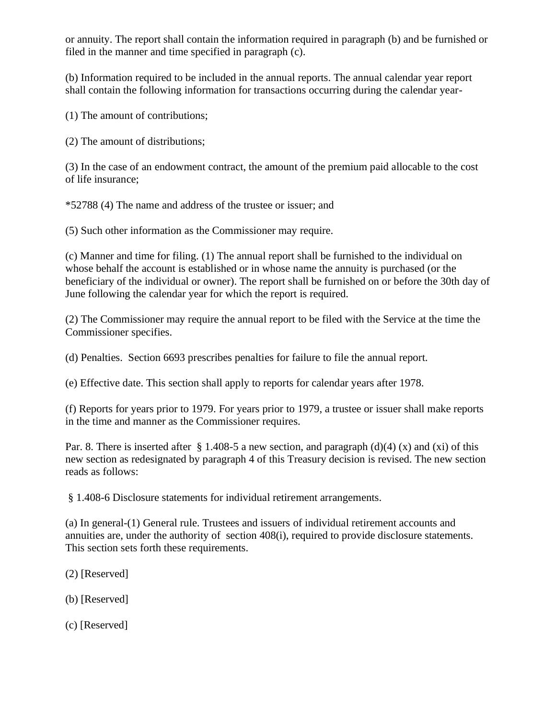or annuity. The report shall contain the information required in paragraph (b) and be furnished or filed in the manner and time specified in paragraph (c).

(b) Information required to be included in the annual reports. The annual calendar year report shall contain the following information for transactions occurring during the calendar year-

(1) The amount of contributions;

(2) The amount of distributions;

(3) In the case of an endowment contract, the amount of the premium paid allocable to the cost of life insurance;

\*52788 (4) The name and address of the trustee or issuer; and

(5) Such other information as the Commissioner may require.

(c) Manner and time for filing. (1) The annual report shall be furnished to the individual on whose behalf the account is established or in whose name the annuity is purchased (or the beneficiary of the individual or owner). The report shall be furnished on or before the 30th day of June following the calendar year for which the report is required.

(2) The Commissioner may require the annual report to be filed with the Service at the time the Commissioner specifies.

(d) Penalties. Section 6693 prescribes penalties for failure to file the annual report.

(e) Effective date. This section shall apply to reports for calendar years after 1978.

(f) Reports for years prior to 1979. For years prior to 1979, a trustee or issuer shall make reports in the time and manner as the Commissioner requires.

Par. 8. There is inserted after § 1.408-5 a new section, and paragraph (d)(4) (x) and (xi) of this new section as redesignated by paragraph 4 of this Treasury decision is revised. The new section reads as follows:

§ 1.408-6 Disclosure statements for individual retirement arrangements.

(a) In general-(1) General rule. Trustees and issuers of individual retirement accounts and annuities are, under the authority of section 408(i), required to provide disclosure statements. This section sets forth these requirements.

- (2) [Reserved]
- (b) [Reserved]
- (c) [Reserved]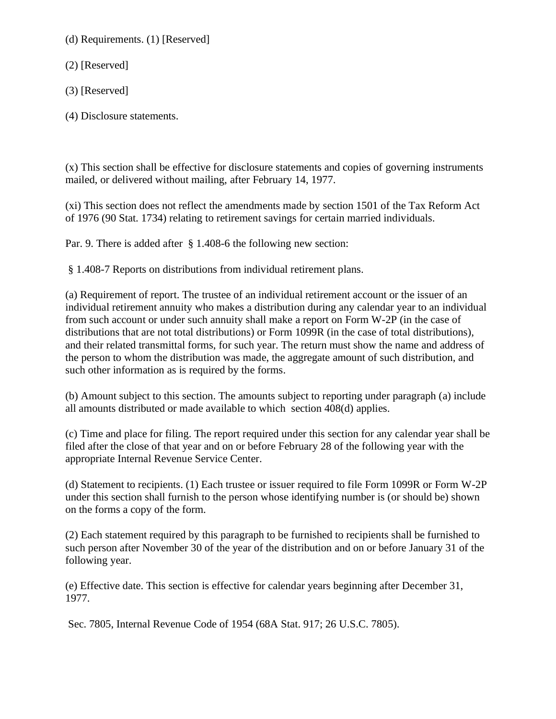(d) Requirements. (1) [Reserved]

(2) [Reserved]

(3) [Reserved]

(4) Disclosure statements.

(x) This section shall be effective for disclosure statements and copies of governing instruments mailed, or delivered without mailing, after February 14, 1977.

(xi) This section does not reflect the amendments made by section 1501 of the Tax Reform Act of 1976 (90 Stat. 1734) relating to retirement savings for certain married individuals.

Par. 9. There is added after § 1.408-6 the following new section:

§ 1.408-7 Reports on distributions from individual retirement plans.

(a) Requirement of report. The trustee of an individual retirement account or the issuer of an individual retirement annuity who makes a distribution during any calendar year to an individual from such account or under such annuity shall make a report on Form W-2P (in the case of distributions that are not total distributions) or Form 1099R (in the case of total distributions), and their related transmittal forms, for such year. The return must show the name and address of the person to whom the distribution was made, the aggregate amount of such distribution, and such other information as is required by the forms.

(b) Amount subject to this section. The amounts subject to reporting under paragraph (a) include all amounts distributed or made available to which section 408(d) applies.

(c) Time and place for filing. The report required under this section for any calendar year shall be filed after the close of that year and on or before February 28 of the following year with the appropriate Internal Revenue Service Center.

(d) Statement to recipients. (1) Each trustee or issuer required to file Form 1099R or Form W-2P under this section shall furnish to the person whose identifying number is (or should be) shown on the forms a copy of the form.

(2) Each statement required by this paragraph to be furnished to recipients shall be furnished to such person after November 30 of the year of the distribution and on or before January 31 of the following year.

(e) Effective date. This section is effective for calendar years beginning after December 31, 1977.

Sec. 7805, Internal Revenue Code of 1954 (68A Stat. 917; 26 U.S.C. 7805).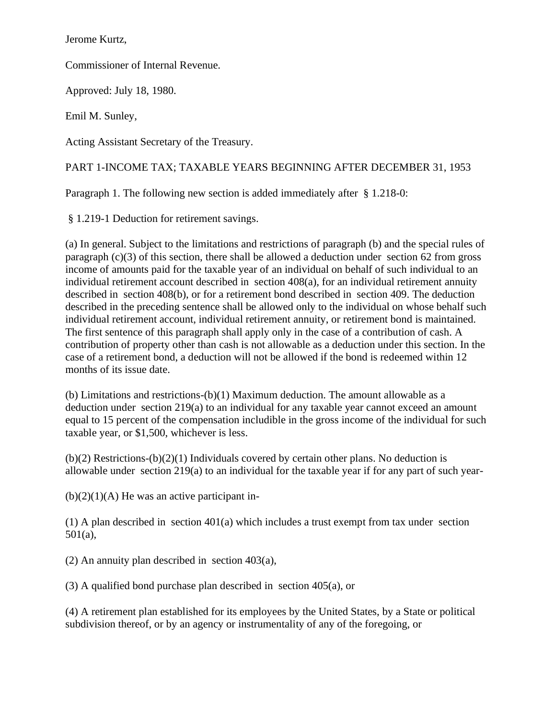Jerome Kurtz,

Commissioner of Internal Revenue.

Approved: July 18, 1980.

Emil M. Sunley,

Acting Assistant Secretary of the Treasury.

### PART 1-INCOME TAX; TAXABLE YEARS BEGINNING AFTER DECEMBER 31, 1953

Paragraph 1. The following new section is added immediately after § 1.218-0:

§ 1.219-1 Deduction for retirement savings.

(a) In general. Subject to the limitations and restrictions of paragraph (b) and the special rules of paragraph  $(c)(3)$  of this section, there shall be allowed a deduction under section 62 from gross income of amounts paid for the taxable year of an individual on behalf of such individual to an individual retirement account described in section 408(a), for an individual retirement annuity described in section 408(b), or for a retirement bond described in section 409. The deduction described in the preceding sentence shall be allowed only to the individual on whose behalf such individual retirement account, individual retirement annuity, or retirement bond is maintained. The first sentence of this paragraph shall apply only in the case of a contribution of cash. A contribution of property other than cash is not allowable as a deduction under this section. In the case of a retirement bond, a deduction will not be allowed if the bond is redeemed within 12 months of its issue date.

(b) Limitations and restrictions-(b)(1) Maximum deduction. The amount allowable as a deduction under section 219(a) to an individual for any taxable year cannot exceed an amount equal to 15 percent of the compensation includible in the gross income of the individual for such taxable year, or \$1,500, whichever is less.

 $(b)(2)$  Restrictions- $(b)(2)(1)$  Individuals covered by certain other plans. No deduction is allowable under section 219(a) to an individual for the taxable year if for any part of such year-

 $(b)(2)(1)(A)$  He was an active participant in-

(1) A plan described in section 401(a) which includes a trust exempt from tax under section 501(a),

(2) An annuity plan described in section 403(a),

(3) A qualified bond purchase plan described in section 405(a), or

(4) A retirement plan established for its employees by the United States, by a State or political subdivision thereof, or by an agency or instrumentality of any of the foregoing, or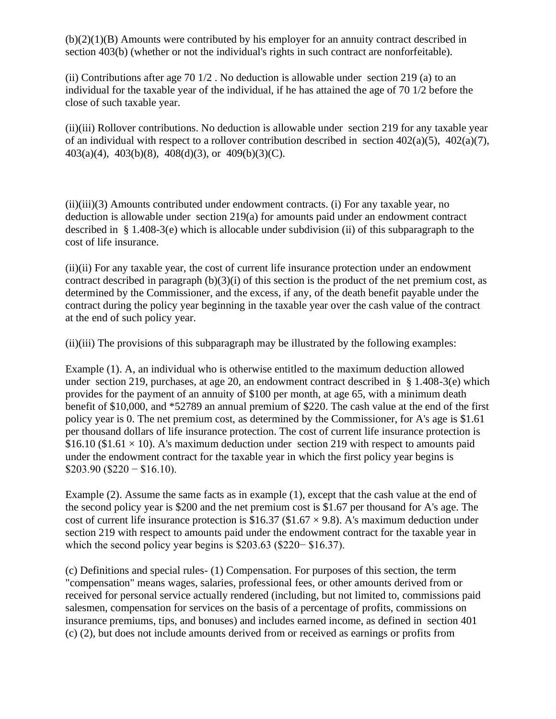$(b)(2)(1)(B)$  Amounts were contributed by his employer for an annuity contract described in section 403(b) (whether or not the individual's rights in such contract are nonforfeitable).

(ii) Contributions after age 70  $1/2$ . No deduction is allowable under section 219 (a) to an individual for the taxable year of the individual, if he has attained the age of 70 1/2 before the close of such taxable year.

(ii)(iii) Rollover contributions. No deduction is allowable under section 219 for any taxable year of an individual with respect to a rollover contribution described in section  $402(a)(5)$ ,  $402(a)(7)$ , 403(a)(4), 403(b)(8), 408(d)(3), or 409(b)(3)(C).

(ii)(iii)(3) Amounts contributed under endowment contracts. (i) For any taxable year, no deduction is allowable under section 219(a) for amounts paid under an endowment contract described in § 1.408-3(e) which is allocable under subdivision (ii) of this subparagraph to the cost of life insurance.

(ii)(ii) For any taxable year, the cost of current life insurance protection under an endowment contract described in paragraph  $(b)(3)(i)$  of this section is the product of the net premium cost, as determined by the Commissioner, and the excess, if any, of the death benefit payable under the contract during the policy year beginning in the taxable year over the cash value of the contract at the end of such policy year.

(ii)(iii) The provisions of this subparagraph may be illustrated by the following examples:

Example (1). A, an individual who is otherwise entitled to the maximum deduction allowed under section 219, purchases, at age 20, an endowment contract described in § 1.408-3(e) which provides for the payment of an annuity of \$100 per month, at age 65, with a minimum death benefit of \$10,000, and \*52789 an annual premium of \$220. The cash value at the end of the first policy year is 0. The net premium cost, as determined by the Commissioner, for A's age is \$1.61 per thousand dollars of life insurance protection. The cost of current life insurance protection is \$16.10 (\$1.61  $\times$  10). A's maximum deduction under section 219 with respect to amounts paid under the endowment contract for the taxable year in which the first policy year begins is  $$203.90$  (\$220 – \$16.10).

Example (2). Assume the same facts as in example (1), except that the cash value at the end of the second policy year is \$200 and the net premium cost is \$1.67 per thousand for A's age. The cost of current life insurance protection is \$16.37 (\$1.67  $\times$  9.8). A's maximum deduction under section 219 with respect to amounts paid under the endowment contract for the taxable year in which the second policy year begins is \$203.63 (\$220− \$16.37).

(c) Definitions and special rules- (1) Compensation. For purposes of this section, the term "compensation" means wages, salaries, professional fees, or other amounts derived from or received for personal service actually rendered (including, but not limited to, commissions paid salesmen, compensation for services on the basis of a percentage of profits, commissions on insurance premiums, tips, and bonuses) and includes earned income, as defined in section 401 (c) (2), but does not include amounts derived from or received as earnings or profits from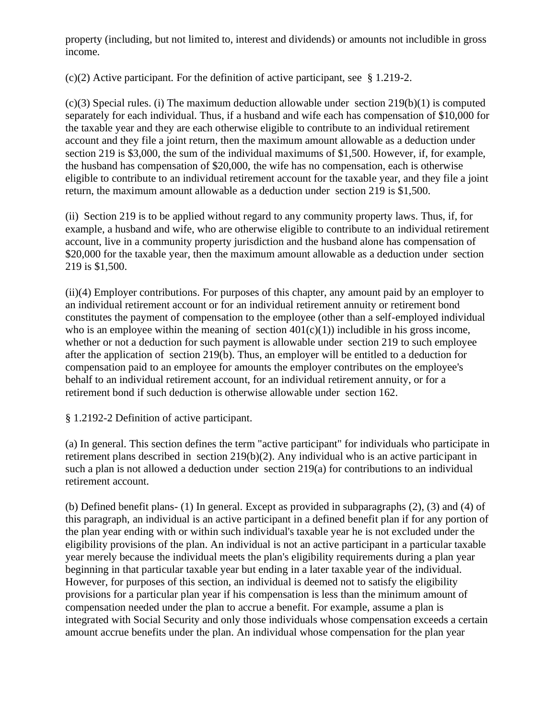property (including, but not limited to, interest and dividends) or amounts not includible in gross income.

(c)(2) Active participant. For the definition of active participant, see § 1.219-2.

 $(c)(3)$  Special rules. (i) The maximum deduction allowable under section 219(b)(1) is computed separately for each individual. Thus, if a husband and wife each has compensation of \$10,000 for the taxable year and they are each otherwise eligible to contribute to an individual retirement account and they file a joint return, then the maximum amount allowable as a deduction under section 219 is \$3,000, the sum of the individual maximums of \$1,500. However, if, for example, the husband has compensation of \$20,000, the wife has no compensation, each is otherwise eligible to contribute to an individual retirement account for the taxable year, and they file a joint return, the maximum amount allowable as a deduction under section 219 is \$1,500.

(ii) Section 219 is to be applied without regard to any community property laws. Thus, if, for example, a husband and wife, who are otherwise eligible to contribute to an individual retirement account, live in a community property jurisdiction and the husband alone has compensation of \$20,000 for the taxable year, then the maximum amount allowable as a deduction under section 219 is \$1,500.

(ii)(4) Employer contributions. For purposes of this chapter, any amount paid by an employer to an individual retirement account or for an individual retirement annuity or retirement bond constitutes the payment of compensation to the employee (other than a self-employed individual who is an employee within the meaning of section  $401(c)(1)$  includible in his gross income, whether or not a deduction for such payment is allowable under section 219 to such employee after the application of section 219(b). Thus, an employer will be entitled to a deduction for compensation paid to an employee for amounts the employer contributes on the employee's behalf to an individual retirement account, for an individual retirement annuity, or for a retirement bond if such deduction is otherwise allowable under section 162.

§ 1.2192-2 Definition of active participant.

(a) In general. This section defines the term "active participant" for individuals who participate in retirement plans described in section 219(b)(2). Any individual who is an active participant in such a plan is not allowed a deduction under section 219(a) for contributions to an individual retirement account.

(b) Defined benefit plans- (1) In general. Except as provided in subparagraphs (2), (3) and (4) of this paragraph, an individual is an active participant in a defined benefit plan if for any portion of the plan year ending with or within such individual's taxable year he is not excluded under the eligibility provisions of the plan. An individual is not an active participant in a particular taxable year merely because the individual meets the plan's eligibility requirements during a plan year beginning in that particular taxable year but ending in a later taxable year of the individual. However, for purposes of this section, an individual is deemed not to satisfy the eligibility provisions for a particular plan year if his compensation is less than the minimum amount of compensation needed under the plan to accrue a benefit. For example, assume a plan is integrated with Social Security and only those individuals whose compensation exceeds a certain amount accrue benefits under the plan. An individual whose compensation for the plan year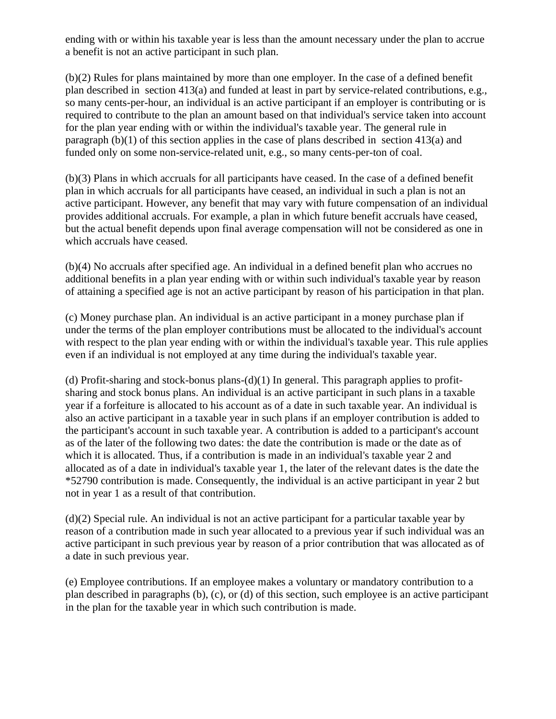ending with or within his taxable year is less than the amount necessary under the plan to accrue a benefit is not an active participant in such plan.

(b)(2) Rules for plans maintained by more than one employer. In the case of a defined benefit plan described in section 413(a) and funded at least in part by service-related contributions, e.g., so many cents-per-hour, an individual is an active participant if an employer is contributing or is required to contribute to the plan an amount based on that individual's service taken into account for the plan year ending with or within the individual's taxable year. The general rule in paragraph (b)(1) of this section applies in the case of plans described in section 413(a) and funded only on some non-service-related unit, e.g., so many cents-per-ton of coal.

(b)(3) Plans in which accruals for all participants have ceased. In the case of a defined benefit plan in which accruals for all participants have ceased, an individual in such a plan is not an active participant. However, any benefit that may vary with future compensation of an individual provides additional accruals. For example, a plan in which future benefit accruals have ceased, but the actual benefit depends upon final average compensation will not be considered as one in which accruals have ceased.

(b)(4) No accruals after specified age. An individual in a defined benefit plan who accrues no additional benefits in a plan year ending with or within such individual's taxable year by reason of attaining a specified age is not an active participant by reason of his participation in that plan.

(c) Money purchase plan. An individual is an active participant in a money purchase plan if under the terms of the plan employer contributions must be allocated to the individual's account with respect to the plan year ending with or within the individual's taxable year. This rule applies even if an individual is not employed at any time during the individual's taxable year.

(d) Profit-sharing and stock-bonus plans- $(d)(1)$  In general. This paragraph applies to profitsharing and stock bonus plans. An individual is an active participant in such plans in a taxable year if a forfeiture is allocated to his account as of a date in such taxable year. An individual is also an active participant in a taxable year in such plans if an employer contribution is added to the participant's account in such taxable year. A contribution is added to a participant's account as of the later of the following two dates: the date the contribution is made or the date as of which it is allocated. Thus, if a contribution is made in an individual's taxable year 2 and allocated as of a date in individual's taxable year 1, the later of the relevant dates is the date the \*52790 contribution is made. Consequently, the individual is an active participant in year 2 but not in year 1 as a result of that contribution.

(d)(2) Special rule. An individual is not an active participant for a particular taxable year by reason of a contribution made in such year allocated to a previous year if such individual was an active participant in such previous year by reason of a prior contribution that was allocated as of a date in such previous year.

(e) Employee contributions. If an employee makes a voluntary or mandatory contribution to a plan described in paragraphs (b), (c), or (d) of this section, such employee is an active participant in the plan for the taxable year in which such contribution is made.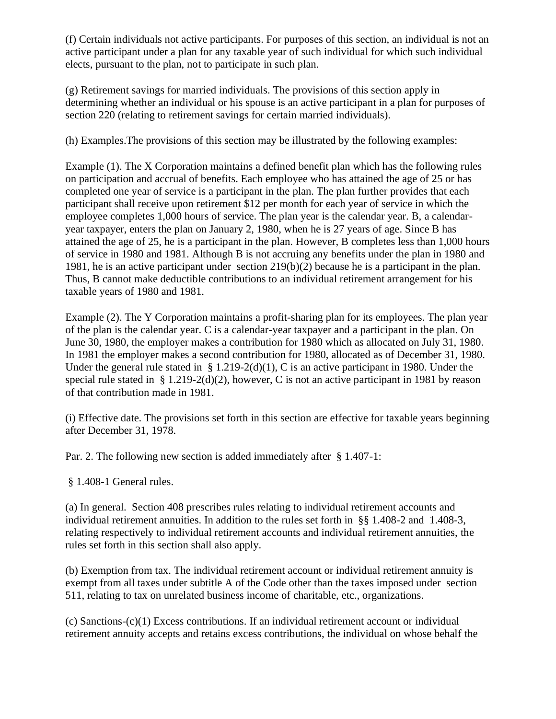(f) Certain individuals not active participants. For purposes of this section, an individual is not an active participant under a plan for any taxable year of such individual for which such individual elects, pursuant to the plan, not to participate in such plan.

(g) Retirement savings for married individuals. The provisions of this section apply in determining whether an individual or his spouse is an active participant in a plan for purposes of section 220 (relating to retirement savings for certain married individuals).

(h) Examples.The provisions of this section may be illustrated by the following examples:

Example (1). The X Corporation maintains a defined benefit plan which has the following rules on participation and accrual of benefits. Each employee who has attained the age of 25 or has completed one year of service is a participant in the plan. The plan further provides that each participant shall receive upon retirement \$12 per month for each year of service in which the employee completes 1,000 hours of service. The plan year is the calendar year. B, a calendaryear taxpayer, enters the plan on January 2, 1980, when he is 27 years of age. Since B has attained the age of 25, he is a participant in the plan. However, B completes less than 1,000 hours of service in 1980 and 1981. Although B is not accruing any benefits under the plan in 1980 and 1981, he is an active participant under section 219(b)(2) because he is a participant in the plan. Thus, B cannot make deductible contributions to an individual retirement arrangement for his taxable years of 1980 and 1981.

Example (2). The Y Corporation maintains a profit-sharing plan for its employees. The plan year of the plan is the calendar year. C is a calendar-year taxpayer and a participant in the plan. On June 30, 1980, the employer makes a contribution for 1980 which as allocated on July 31, 1980. In 1981 the employer makes a second contribution for 1980, allocated as of December 31, 1980. Under the general rule stated in § 1.219-2(d)(1), C is an active participant in 1980. Under the special rule stated in § 1.219-2(d)(2), however, C is not an active participant in 1981 by reason of that contribution made in 1981.

(i) Effective date. The provisions set forth in this section are effective for taxable years beginning after December 31, 1978.

Par. 2. The following new section is added immediately after § 1.407-1:

§ 1.408-1 General rules.

(a) In general. Section 408 prescribes rules relating to individual retirement accounts and individual retirement annuities. In addition to the rules set forth in §§ 1.408-2 and 1.408-3, relating respectively to individual retirement accounts and individual retirement annuities, the rules set forth in this section shall also apply.

(b) Exemption from tax. The individual retirement account or individual retirement annuity is exempt from all taxes under subtitle A of the Code other than the taxes imposed under section 511, relating to tax on unrelated business income of charitable, etc., organizations.

 $(c)$  Sanctions- $(c)(1)$  Excess contributions. If an individual retirement account or individual retirement annuity accepts and retains excess contributions, the individual on whose behalf the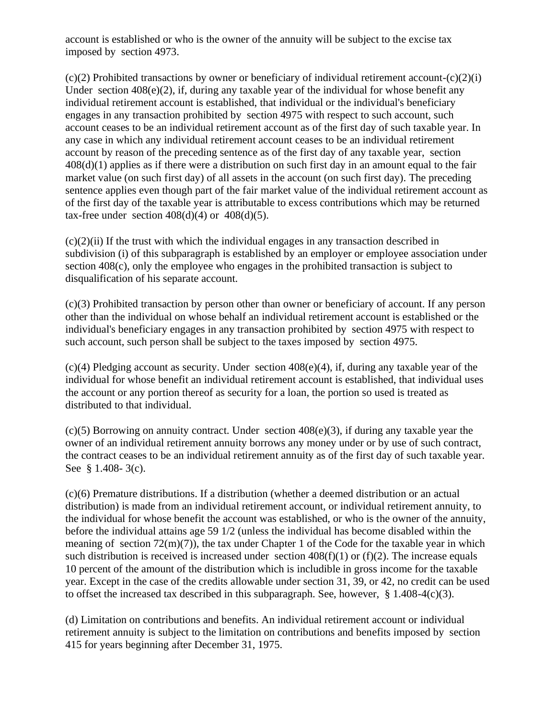account is established or who is the owner of the annuity will be subject to the excise tax imposed by section 4973.

 $(c)(2)$  Prohibited transactions by owner or beneficiary of individual retirement account- $(c)(2)(i)$ Under section  $408(e)(2)$ , if, during any taxable year of the individual for whose benefit any individual retirement account is established, that individual or the individual's beneficiary engages in any transaction prohibited by section 4975 with respect to such account, such account ceases to be an individual retirement account as of the first day of such taxable year. In any case in which any individual retirement account ceases to be an individual retirement account by reason of the preceding sentence as of the first day of any taxable year, section 408(d)(1) applies as if there were a distribution on such first day in an amount equal to the fair market value (on such first day) of all assets in the account (on such first day). The preceding sentence applies even though part of the fair market value of the individual retirement account as of the first day of the taxable year is attributable to excess contributions which may be returned tax-free under section  $408(d)(4)$  or  $408(d)(5)$ .

 $(c)(2)(ii)$  If the trust with which the individual engages in any transaction described in subdivision (i) of this subparagraph is established by an employer or employee association under section 408(c), only the employee who engages in the prohibited transaction is subject to disqualification of his separate account.

(c)(3) Prohibited transaction by person other than owner or beneficiary of account. If any person other than the individual on whose behalf an individual retirement account is established or the individual's beneficiary engages in any transaction prohibited by section 4975 with respect to such account, such person shall be subject to the taxes imposed by section 4975.

(c)(4) Pledging account as security. Under section 408(e)(4), if, during any taxable year of the individual for whose benefit an individual retirement account is established, that individual uses the account or any portion thereof as security for a loan, the portion so used is treated as distributed to that individual.

 $(c)(5)$  Borrowing on annuity contract. Under section  $408(e)(3)$ , if during any taxable year the owner of an individual retirement annuity borrows any money under or by use of such contract, the contract ceases to be an individual retirement annuity as of the first day of such taxable year. See § 1.408-3(c).

(c)(6) Premature distributions. If a distribution (whether a deemed distribution or an actual distribution) is made from an individual retirement account, or individual retirement annuity, to the individual for whose benefit the account was established, or who is the owner of the annuity, before the individual attains age 59 1/2 (unless the individual has become disabled within the meaning of section  $72(m)(7)$ , the tax under Chapter 1 of the Code for the taxable year in which such distribution is received is increased under section  $408(f)(1)$  or  $(f)(2)$ . The increase equals 10 percent of the amount of the distribution which is includible in gross income for the taxable year. Except in the case of the credits allowable under section 31, 39, or 42, no credit can be used to offset the increased tax described in this subparagraph. See, however, § 1.408-4(c)(3).

(d) Limitation on contributions and benefits. An individual retirement account or individual retirement annuity is subject to the limitation on contributions and benefits imposed by section 415 for years beginning after December 31, 1975.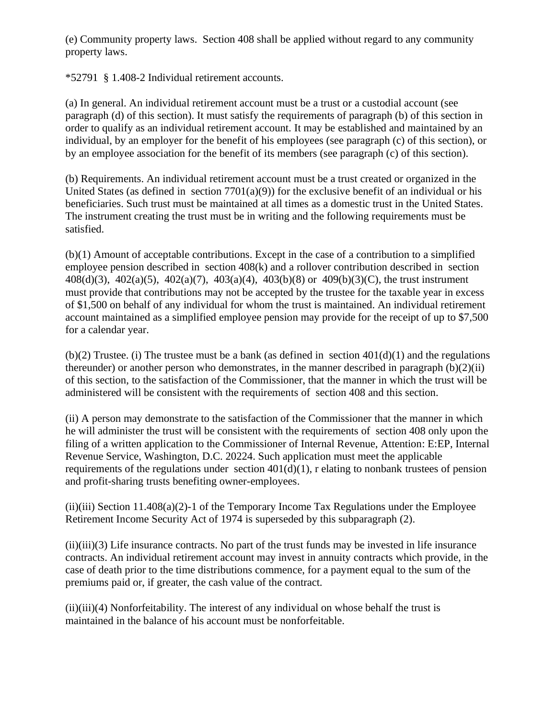(e) Community property laws. Section 408 shall be applied without regard to any community property laws.

\*52791 § 1.408-2 Individual retirement accounts.

(a) In general. An individual retirement account must be a trust or a custodial account (see paragraph (d) of this section). It must satisfy the requirements of paragraph (b) of this section in order to qualify as an individual retirement account. It may be established and maintained by an individual, by an employer for the benefit of his employees (see paragraph (c) of this section), or by an employee association for the benefit of its members (see paragraph (c) of this section).

(b) Requirements. An individual retirement account must be a trust created or organized in the United States (as defined in section  $7701(a)(9)$ ) for the exclusive benefit of an individual or his beneficiaries. Such trust must be maintained at all times as a domestic trust in the United States. The instrument creating the trust must be in writing and the following requirements must be satisfied.

(b)(1) Amount of acceptable contributions. Except in the case of a contribution to a simplified employee pension described in section 408(k) and a rollover contribution described in section 408(d)(3), 402(a)(5), 402(a)(7), 403(a)(4), 403(b)(8) or 409(b)(3)(C), the trust instrument must provide that contributions may not be accepted by the trustee for the taxable year in excess of \$1,500 on behalf of any individual for whom the trust is maintained. An individual retirement account maintained as a simplified employee pension may provide for the receipt of up to \$7,500 for a calendar year.

 $(b)(2)$  Trustee. (i) The trustee must be a bank (as defined in section  $401(d)(1)$  and the regulations thereunder) or another person who demonstrates, in the manner described in paragraph  $(b)(2)(ii)$ of this section, to the satisfaction of the Commissioner, that the manner in which the trust will be administered will be consistent with the requirements of section 408 and this section.

(ii) A person may demonstrate to the satisfaction of the Commissioner that the manner in which he will administer the trust will be consistent with the requirements of section 408 only upon the filing of a written application to the Commissioner of Internal Revenue, Attention: E:EP, Internal Revenue Service, Washington, D.C. 20224. Such application must meet the applicable requirements of the regulations under section  $401(d)(1)$ , r elating to nonbank trustees of pension and profit-sharing trusts benefiting owner-employees.

(ii)(iii) Section 11.408(a)(2)-1 of the Temporary Income Tax Regulations under the Employee Retirement Income Security Act of 1974 is superseded by this subparagraph (2).

 $(ii)(iii)(3)$  Life insurance contracts. No part of the trust funds may be invested in life insurance contracts. An individual retirement account may invest in annuity contracts which provide, in the case of death prior to the time distributions commence, for a payment equal to the sum of the premiums paid or, if greater, the cash value of the contract.

(ii)(iii)(4) Nonforfeitability. The interest of any individual on whose behalf the trust is maintained in the balance of his account must be nonforfeitable.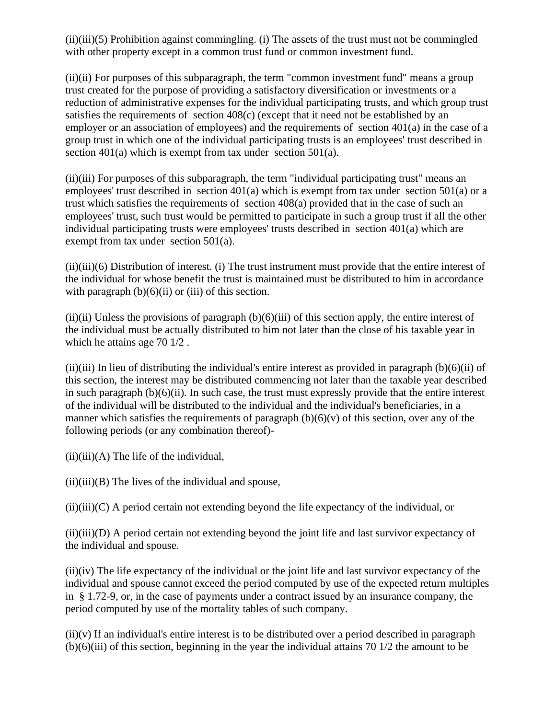(ii)(iii)(5) Prohibition against commingling. (i) The assets of the trust must not be commingled with other property except in a common trust fund or common investment fund.

(ii)(ii) For purposes of this subparagraph, the term "common investment fund" means a group trust created for the purpose of providing a satisfactory diversification or investments or a reduction of administrative expenses for the individual participating trusts, and which group trust satisfies the requirements of section 408(c) (except that it need not be established by an employer or an association of employees) and the requirements of section 401(a) in the case of a group trust in which one of the individual participating trusts is an employees' trust described in section 401(a) which is exempt from tax under section 501(a).

(ii)(iii) For purposes of this subparagraph, the term "individual participating trust" means an employees' trust described in section  $401(a)$  which is exempt from tax under section  $501(a)$  or a trust which satisfies the requirements of section 408(a) provided that in the case of such an employees' trust, such trust would be permitted to participate in such a group trust if all the other individual participating trusts were employees' trusts described in section 401(a) which are exempt from tax under section 501(a).

(ii)(iii)(6) Distribution of interest. (i) The trust instrument must provide that the entire interest of the individual for whose benefit the trust is maintained must be distributed to him in accordance with paragraph  $(b)(6)(ii)$  or (iii) of this section.

 $(ii)(ii)$  Unless the provisions of paragraph  $(b)(6)(iii)$  of this section apply, the entire interest of the individual must be actually distributed to him not later than the close of his taxable year in which he attains age 70 1/2 .

(ii)(iii) In lieu of distributing the individual's entire interest as provided in paragraph  $(b)(6)(ii)$  of this section, the interest may be distributed commencing not later than the taxable year described in such paragraph (b)(6)(ii). In such case, the trust must expressly provide that the entire interest of the individual will be distributed to the individual and the individual's beneficiaries, in a manner which satisfies the requirements of paragraph  $(b)(6)(v)$  of this section, over any of the following periods (or any combination thereof)-

 $(ii)(iii)(A)$  The life of the individual,

 $(ii)(iii)(B)$  The lives of the individual and spouse,

(ii)(iii)(C) A period certain not extending beyond the life expectancy of the individual, or

(ii)(iii)(D) A period certain not extending beyond the joint life and last survivor expectancy of the individual and spouse.

(ii)(iv) The life expectancy of the individual or the joint life and last survivor expectancy of the individual and spouse cannot exceed the period computed by use of the expected return multiples in § 1.72-9, or, in the case of payments under a contract issued by an insurance company, the period computed by use of the mortality tables of such company.

 $(ii)(v)$  If an individual's entire interest is to be distributed over a period described in paragraph  $(b)(6)(iii)$  of this section, beginning in the year the individual attains 70  $1/2$  the amount to be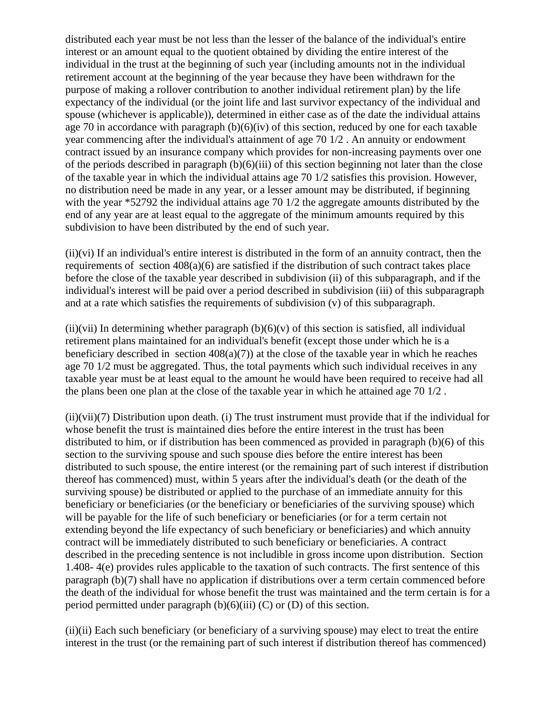distributed each year must be not less than the lesser of the balance of the individual's entire interest or an amount equal to the quotient obtained by dividing the entire interest of the individual in the trust at the beginning of such year (including amounts not in the individual retirement account at the beginning of the year because they have been withdrawn for the purpose of making a rollover contribution to another individual retirement plan) by the life expectancy of the individual (or the joint life and last survivor expectancy of the individual and spouse (whichever is applicable)), determined in either case as of the date the individual attains age 70 in accordance with paragraph  $(b)(6)(iv)$  of this section, reduced by one for each taxable year commencing after the individual's attainment of age 70 1/2 . An annuity or endowment contract issued by an insurance company which provides for non-increasing payments over one of the periods described in paragraph  $(b)(6)(iii)$  of this section beginning not later than the close of the taxable year in which the individual attains age 70 1/2 satisfies this provision. However, no distribution need be made in any year, or a lesser amount may be distributed, if beginning with the year \*52792 the individual attains age 70 1/2 the aggregate amounts distributed by the end of any year are at least equal to the aggregate of the minimum amounts required by this subdivision to have been distributed by the end of such year.

(ii)(vi) If an individual's entire interest is distributed in the form of an annuity contract, then the requirements of section 408(a)(6) are satisfied if the distribution of such contract takes place before the close of the taxable year described in subdivision (ii) of this subparagraph, and if the individual's interest will be paid over a period described in subdivision (iii) of this subparagraph and at a rate which satisfies the requirements of subdivision (v) of this subparagraph.

 $(iii)(vii)$  In determining whether paragraph  $(b)(6)(v)$  of this section is satisfied, all individual retirement plans maintained for an individual's benefit (except those under which he is a beneficiary described in section  $408(a)(7)$  at the close of the taxable year in which he reaches age 70 1/2 must be aggregated. Thus, the total payments which such individual receives in any taxable year must be at least equal to the amount he would have been required to receive had all the plans been one plan at the close of the taxable year in which he attained age 70 1/2 .

(ii)(vii)(7) Distribution upon death. (i) The trust instrument must provide that if the individual for whose benefit the trust is maintained dies before the entire interest in the trust has been distributed to him, or if distribution has been commenced as provided in paragraph (b)(6) of this section to the surviving spouse and such spouse dies before the entire interest has been distributed to such spouse, the entire interest (or the remaining part of such interest if distribution thereof has commenced) must, within 5 years after the individual's death (or the death of the surviving spouse) be distributed or applied to the purchase of an immediate annuity for this beneficiary or beneficiaries (or the beneficiary or beneficiaries of the surviving spouse) which will be payable for the life of such beneficiary or beneficiaries (or for a term certain not extending beyond the life expectancy of such beneficiary or beneficiaries) and which annuity contract will be immediately distributed to such beneficiary or beneficiaries. A contract described in the preceding sentence is not includible in gross income upon distribution. Section 1.408- 4(e) provides rules applicable to the taxation of such contracts. The first sentence of this paragraph (b)(7) shall have no application if distributions over a term certain commenced before the death of the individual for whose benefit the trust was maintained and the term certain is for a period permitted under paragraph  $(b)(6)(iii)$  (C) or (D) of this section.

(ii)(ii) Each such beneficiary (or beneficiary of a surviving spouse) may elect to treat the entire interest in the trust (or the remaining part of such interest if distribution thereof has commenced)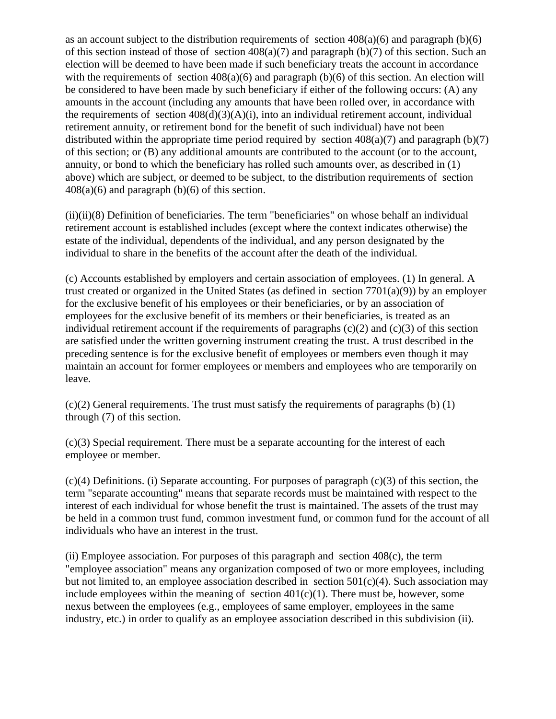as an account subject to the distribution requirements of section  $408(a)(6)$  and paragraph (b)(6) of this section instead of those of section  $408(a)(7)$  and paragraph (b)(7) of this section. Such an election will be deemed to have been made if such beneficiary treats the account in accordance with the requirements of section  $408(a)(6)$  and paragraph (b)(6) of this section. An election will be considered to have been made by such beneficiary if either of the following occurs: (A) any amounts in the account (including any amounts that have been rolled over, in accordance with the requirements of section  $408(d)(3)(A)(i)$ , into an individual retirement account, individual retirement annuity, or retirement bond for the benefit of such individual) have not been distributed within the appropriate time period required by section  $408(a)(7)$  and paragraph (b)(7) of this section; or (B) any additional amounts are contributed to the account (or to the account, annuity, or bond to which the beneficiary has rolled such amounts over, as described in (1) above) which are subject, or deemed to be subject, to the distribution requirements of section  $408(a)(6)$  and paragraph (b)(6) of this section.

(ii)(ii)(8) Definition of beneficiaries. The term "beneficiaries" on whose behalf an individual retirement account is established includes (except where the context indicates otherwise) the estate of the individual, dependents of the individual, and any person designated by the individual to share in the benefits of the account after the death of the individual.

(c) Accounts established by employers and certain association of employees. (1) In general. A trust created or organized in the United States (as defined in section  $7701(a)(9)$ ) by an employer for the exclusive benefit of his employees or their beneficiaries, or by an association of employees for the exclusive benefit of its members or their beneficiaries, is treated as an individual retirement account if the requirements of paragraphs  $(c)(2)$  and  $(c)(3)$  of this section are satisfied under the written governing instrument creating the trust. A trust described in the preceding sentence is for the exclusive benefit of employees or members even though it may maintain an account for former employees or members and employees who are temporarily on leave.

(c)(2) General requirements. The trust must satisfy the requirements of paragraphs (b) (1) through (7) of this section.

(c)(3) Special requirement. There must be a separate accounting for the interest of each employee or member.

 $(c)(4)$  Definitions. (i) Separate accounting. For purposes of paragraph  $(c)(3)$  of this section, the term "separate accounting" means that separate records must be maintained with respect to the interest of each individual for whose benefit the trust is maintained. The assets of the trust may be held in a common trust fund, common investment fund, or common fund for the account of all individuals who have an interest in the trust.

(ii) Employee association. For purposes of this paragraph and section  $408(c)$ , the term "employee association" means any organization composed of two or more employees, including but not limited to, an employee association described in section  $501(c)(4)$ . Such association may include employees within the meaning of section  $401(c)(1)$ . There must be, however, some nexus between the employees (e.g., employees of same employer, employees in the same industry, etc.) in order to qualify as an employee association described in this subdivision (ii).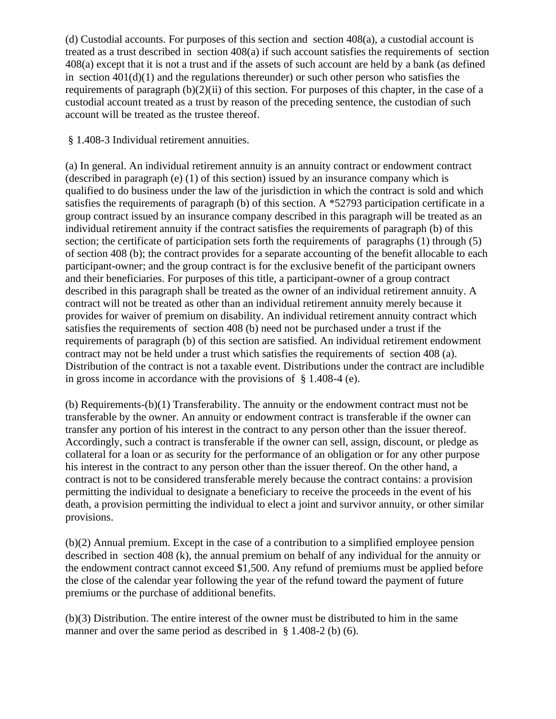(d) Custodial accounts. For purposes of this section and section 408(a), a custodial account is treated as a trust described in section 408(a) if such account satisfies the requirements of section 408(a) except that it is not a trust and if the assets of such account are held by a bank (as defined in section  $401(d)(1)$  and the regulations thereunder) or such other person who satisfies the requirements of paragraph (b)(2)(ii) of this section. For purposes of this chapter, in the case of a custodial account treated as a trust by reason of the preceding sentence, the custodian of such account will be treated as the trustee thereof.

§ 1.408-3 Individual retirement annuities.

(a) In general. An individual retirement annuity is an annuity contract or endowment contract (described in paragraph (e) (1) of this section) issued by an insurance company which is qualified to do business under the law of the jurisdiction in which the contract is sold and which satisfies the requirements of paragraph (b) of this section. A \*52793 participation certificate in a group contract issued by an insurance company described in this paragraph will be treated as an individual retirement annuity if the contract satisfies the requirements of paragraph (b) of this section; the certificate of participation sets forth the requirements of paragraphs (1) through (5) of section 408 (b); the contract provides for a separate accounting of the benefit allocable to each participant-owner; and the group contract is for the exclusive benefit of the participant owners and their beneficiaries. For purposes of this title, a participant-owner of a group contract described in this paragraph shall be treated as the owner of an individual retirement annuity. A contract will not be treated as other than an individual retirement annuity merely because it provides for waiver of premium on disability. An individual retirement annuity contract which satisfies the requirements of section 408 (b) need not be purchased under a trust if the requirements of paragraph (b) of this section are satisfied. An individual retirement endowment contract may not be held under a trust which satisfies the requirements of section 408 (a). Distribution of the contract is not a taxable event. Distributions under the contract are includible in gross income in accordance with the provisions of § 1.408-4 (e).

(b) Requirements-(b)(1) Transferability. The annuity or the endowment contract must not be transferable by the owner. An annuity or endowment contract is transferable if the owner can transfer any portion of his interest in the contract to any person other than the issuer thereof. Accordingly, such a contract is transferable if the owner can sell, assign, discount, or pledge as collateral for a loan or as security for the performance of an obligation or for any other purpose his interest in the contract to any person other than the issuer thereof. On the other hand, a contract is not to be considered transferable merely because the contract contains: a provision permitting the individual to designate a beneficiary to receive the proceeds in the event of his death, a provision permitting the individual to elect a joint and survivor annuity, or other similar provisions.

(b)(2) Annual premium. Except in the case of a contribution to a simplified employee pension described in section 408 (k), the annual premium on behalf of any individual for the annuity or the endowment contract cannot exceed \$1,500. Any refund of premiums must be applied before the close of the calendar year following the year of the refund toward the payment of future premiums or the purchase of additional benefits.

(b)(3) Distribution. The entire interest of the owner must be distributed to him in the same manner and over the same period as described in § 1.408-2 (b) (6).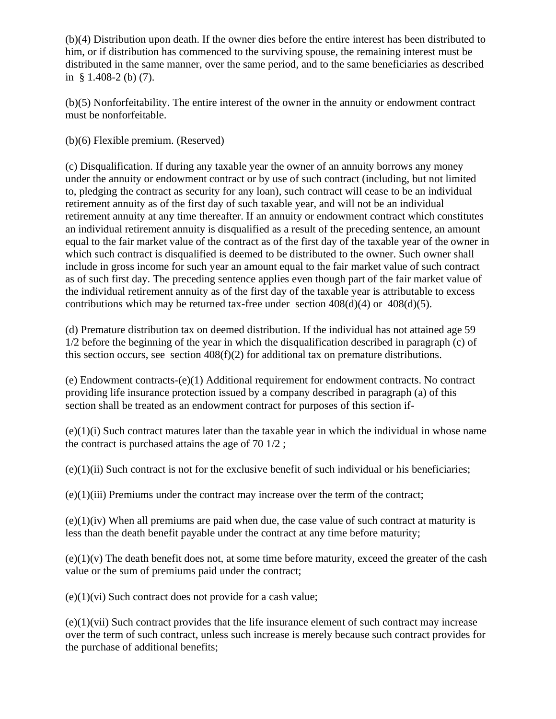(b)(4) Distribution upon death. If the owner dies before the entire interest has been distributed to him, or if distribution has commenced to the surviving spouse, the remaining interest must be distributed in the same manner, over the same period, and to the same beneficiaries as described in § 1.408-2 (b) (7).

(b)(5) Nonforfeitability. The entire interest of the owner in the annuity or endowment contract must be nonforfeitable.

(b)(6) Flexible premium. (Reserved)

(c) Disqualification. If during any taxable year the owner of an annuity borrows any money under the annuity or endowment contract or by use of such contract (including, but not limited to, pledging the contract as security for any loan), such contract will cease to be an individual retirement annuity as of the first day of such taxable year, and will not be an individual retirement annuity at any time thereafter. If an annuity or endowment contract which constitutes an individual retirement annuity is disqualified as a result of the preceding sentence, an amount equal to the fair market value of the contract as of the first day of the taxable year of the owner in which such contract is disqualified is deemed to be distributed to the owner. Such owner shall include in gross income for such year an amount equal to the fair market value of such contract as of such first day. The preceding sentence applies even though part of the fair market value of the individual retirement annuity as of the first day of the taxable year is attributable to excess contributions which may be returned tax-free under section  $408(d)(4)$  or  $408(d)(5)$ .

(d) Premature distribution tax on deemed distribution. If the individual has not attained age 59 1/2 before the beginning of the year in which the disqualification described in paragraph (c) of this section occurs, see section 408(f)(2) for additional tax on premature distributions.

(e) Endowment contracts-(e)(1) Additional requirement for endowment contracts. No contract providing life insurance protection issued by a company described in paragraph (a) of this section shall be treated as an endowment contract for purposes of this section if-

(e)(1)(i) Such contract matures later than the taxable year in which the individual in whose name the contract is purchased attains the age of 70 1/2 ;

 $(e)(1)(ii)$  Such contract is not for the exclusive benefit of such individual or his beneficiaries;

(e)(1)(iii) Premiums under the contract may increase over the term of the contract;

 $(e)(1)(iv)$  When all premiums are paid when due, the case value of such contract at maturity is less than the death benefit payable under the contract at any time before maturity;

 $(e)(1)(v)$  The death benefit does not, at some time before maturity, exceed the greater of the cash value or the sum of premiums paid under the contract;

 $(e)(1)(vi)$  Such contract does not provide for a cash value;

 $(e)(1)(\n\tiivii)$  Such contract provides that the life insurance element of such contract may increase over the term of such contract, unless such increase is merely because such contract provides for the purchase of additional benefits;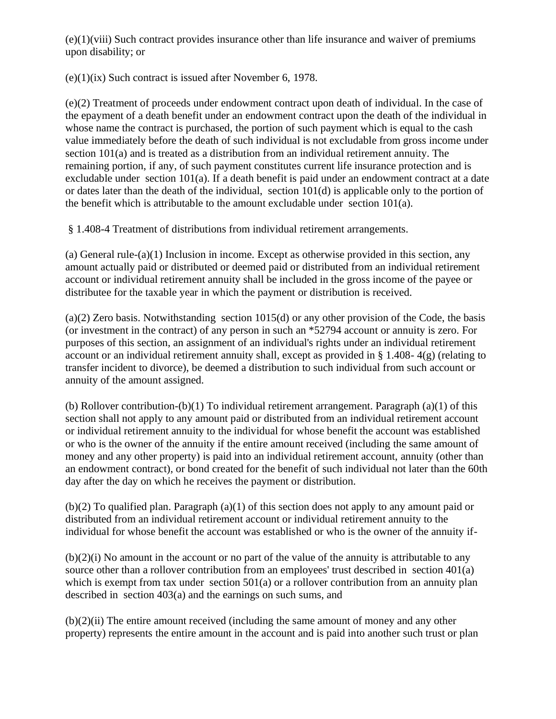$(e)(1)(viii)$  Such contract provides insurance other than life insurance and waiver of premiums upon disability; or

(e)(1)(ix) Such contract is issued after November 6, 1978.

(e)(2) Treatment of proceeds under endowment contract upon death of individual. In the case of the epayment of a death benefit under an endowment contract upon the death of the individual in whose name the contract is purchased, the portion of such payment which is equal to the cash value immediately before the death of such individual is not excludable from gross income under section 101(a) and is treated as a distribution from an individual retirement annuity. The remaining portion, if any, of such payment constitutes current life insurance protection and is excludable under section 101(a). If a death benefit is paid under an endowment contract at a date or dates later than the death of the individual, section 101(d) is applicable only to the portion of the benefit which is attributable to the amount excludable under section 101(a).

§ 1.408-4 Treatment of distributions from individual retirement arrangements.

(a) General rule-(a)(1) Inclusion in income. Except as otherwise provided in this section, any amount actually paid or distributed or deemed paid or distributed from an individual retirement account or individual retirement annuity shall be included in the gross income of the payee or distributee for the taxable year in which the payment or distribution is received.

 $(a)(2)$  Zero basis. Notwithstanding section 1015(d) or any other provision of the Code, the basis (or investment in the contract) of any person in such an \*52794 account or annuity is zero. For purposes of this section, an assignment of an individual's rights under an individual retirement account or an individual retirement annuity shall, except as provided in § 1.408- 4(g) (relating to transfer incident to divorce), be deemed a distribution to such individual from such account or annuity of the amount assigned.

(b) Rollover contribution-(b)(1) To individual retirement arrangement. Paragraph (a)(1) of this section shall not apply to any amount paid or distributed from an individual retirement account or individual retirement annuity to the individual for whose benefit the account was established or who is the owner of the annuity if the entire amount received (including the same amount of money and any other property) is paid into an individual retirement account, annuity (other than an endowment contract), or bond created for the benefit of such individual not later than the 60th day after the day on which he receives the payment or distribution.

 $(b)(2)$  To qualified plan. Paragraph  $(a)(1)$  of this section does not apply to any amount paid or distributed from an individual retirement account or individual retirement annuity to the individual for whose benefit the account was established or who is the owner of the annuity if-

 $(b)(2)(i)$  No amount in the account or no part of the value of the annuity is attributable to any source other than a rollover contribution from an employees' trust described in section 401(a) which is exempt from tax under section 501(a) or a rollover contribution from an annuity plan described in section 403(a) and the earnings on such sums, and

(b)(2)(ii) The entire amount received (including the same amount of money and any other property) represents the entire amount in the account and is paid into another such trust or plan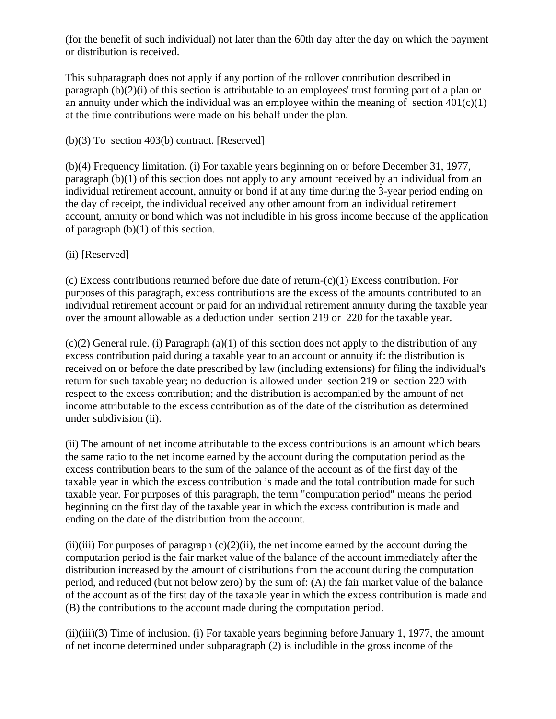(for the benefit of such individual) not later than the 60th day after the day on which the payment or distribution is received.

This subparagraph does not apply if any portion of the rollover contribution described in paragraph (b)(2)(i) of this section is attributable to an employees' trust forming part of a plan or an annuity under which the individual was an employee within the meaning of section  $401(c)(1)$ at the time contributions were made on his behalf under the plan.

(b)(3) To section 403(b) contract. [Reserved]

(b)(4) Frequency limitation. (i) For taxable years beginning on or before December 31, 1977, paragraph (b)(1) of this section does not apply to any amount received by an individual from an individual retirement account, annuity or bond if at any time during the 3-year period ending on the day of receipt, the individual received any other amount from an individual retirement account, annuity or bond which was not includible in his gross income because of the application of paragraph (b)(1) of this section.

### (ii) [Reserved]

(c) Excess contributions returned before due date of return-(c)(1) Excess contribution. For purposes of this paragraph, excess contributions are the excess of the amounts contributed to an individual retirement account or paid for an individual retirement annuity during the taxable year over the amount allowable as a deduction under section 219 or 220 for the taxable year.

 $(c)(2)$  General rule. (i) Paragraph (a)(1) of this section does not apply to the distribution of any excess contribution paid during a taxable year to an account or annuity if: the distribution is received on or before the date prescribed by law (including extensions) for filing the individual's return for such taxable year; no deduction is allowed under section 219 or section 220 with respect to the excess contribution; and the distribution is accompanied by the amount of net income attributable to the excess contribution as of the date of the distribution as determined under subdivision (ii).

(ii) The amount of net income attributable to the excess contributions is an amount which bears the same ratio to the net income earned by the account during the computation period as the excess contribution bears to the sum of the balance of the account as of the first day of the taxable year in which the excess contribution is made and the total contribution made for such taxable year. For purposes of this paragraph, the term "computation period" means the period beginning on the first day of the taxable year in which the excess contribution is made and ending on the date of the distribution from the account.

(ii)(iii) For purposes of paragraph  $(c)(2)$ (ii), the net income earned by the account during the computation period is the fair market value of the balance of the account immediately after the distribution increased by the amount of distributions from the account during the computation period, and reduced (but not below zero) by the sum of: (A) the fair market value of the balance of the account as of the first day of the taxable year in which the excess contribution is made and (B) the contributions to the account made during the computation period.

 $(ii)(iii)(3)$  Time of inclusion. (i) For taxable years beginning before January 1, 1977, the amount of net income determined under subparagraph (2) is includible in the gross income of the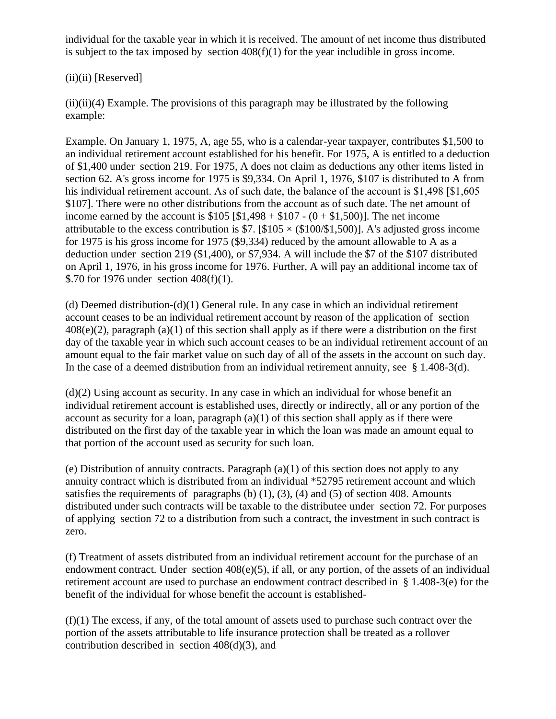individual for the taxable year in which it is received. The amount of net income thus distributed is subject to the tax imposed by section 408(f)(1) for the year includible in gross income.

## $(ii)(ii)$  [Reserved]

 $(ii)(ii)(4)$  Example. The provisions of this paragraph may be illustrated by the following example:

Example. On January 1, 1975, A, age 55, who is a calendar-year taxpayer, contributes \$1,500 to an individual retirement account established for his benefit. For 1975, A is entitled to a deduction of \$1,400 under section 219. For 1975, A does not claim as deductions any other items listed in section 62. A's gross income for 1975 is \$9,334. On April 1, 1976, \$107 is distributed to A from his individual retirement account. As of such date, the balance of the account is \$1,498 [\$1,605 − \$107]. There were no other distributions from the account as of such date. The net amount of income earned by the account is  $$105 [$1,498 + $107 - (0 + $1,500)]$ . The net income attributable to the excess contribution is  $$7. [$105 \times ($100/$1,500)]$ . A's adjusted gross income for 1975 is his gross income for 1975 (\$9,334) reduced by the amount allowable to A as a deduction under section 219 (\$1,400), or \$7,934. A will include the \$7 of the \$107 distributed on April 1, 1976, in his gross income for 1976. Further, A will pay an additional income tax of \$.70 for 1976 under section 408(f)(1).

(d) Deemed distribution-(d)(1) General rule. In any case in which an individual retirement account ceases to be an individual retirement account by reason of the application of section  $408(e)(2)$ , paragraph (a)(1) of this section shall apply as if there were a distribution on the first day of the taxable year in which such account ceases to be an individual retirement account of an amount equal to the fair market value on such day of all of the assets in the account on such day. In the case of a deemed distribution from an individual retirement annuity, see § 1.408-3(d).

(d)(2) Using account as security. In any case in which an individual for whose benefit an individual retirement account is established uses, directly or indirectly, all or any portion of the account as security for a loan, paragraph  $(a)(1)$  of this section shall apply as if there were distributed on the first day of the taxable year in which the loan was made an amount equal to that portion of the account used as security for such loan.

(e) Distribution of annuity contracts. Paragraph  $(a)(1)$  of this section does not apply to any annuity contract which is distributed from an individual \*52795 retirement account and which satisfies the requirements of paragraphs (b)  $(1)$ ,  $(3)$ ,  $(4)$  and  $(5)$  of section 408. Amounts distributed under such contracts will be taxable to the distributee under section 72. For purposes of applying section 72 to a distribution from such a contract, the investment in such contract is zero.

(f) Treatment of assets distributed from an individual retirement account for the purchase of an endowment contract. Under section 408(e)(5), if all, or any portion, of the assets of an individual retirement account are used to purchase an endowment contract described in § 1.408-3(e) for the benefit of the individual for whose benefit the account is established-

(f)(1) The excess, if any, of the total amount of assets used to purchase such contract over the portion of the assets attributable to life insurance protection shall be treated as a rollover contribution described in section  $408(d)(3)$ , and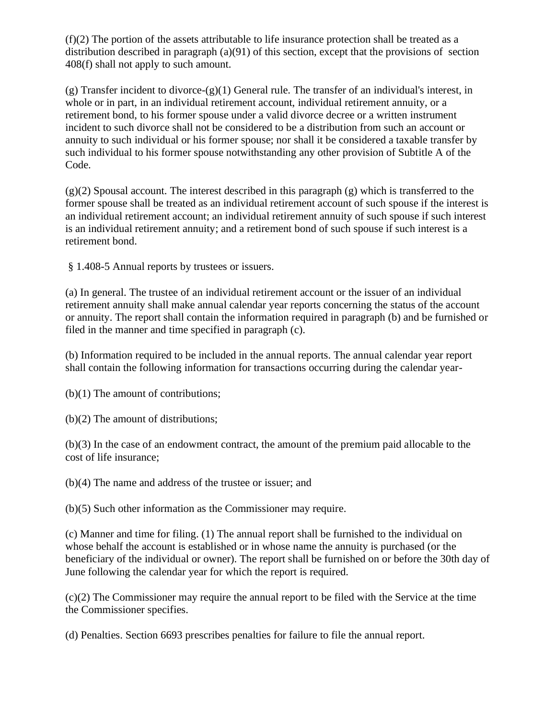(f)(2) The portion of the assets attributable to life insurance protection shall be treated as a distribution described in paragraph (a)(91) of this section, except that the provisions of section 408(f) shall not apply to such amount.

(g) Transfer incident to divorce- $(g)(1)$  General rule. The transfer of an individual's interest, in whole or in part, in an individual retirement account, individual retirement annuity, or a retirement bond, to his former spouse under a valid divorce decree or a written instrument incident to such divorce shall not be considered to be a distribution from such an account or annuity to such individual or his former spouse; nor shall it be considered a taxable transfer by such individual to his former spouse notwithstanding any other provision of Subtitle A of the Code.

 $(g)(2)$  Spousal account. The interest described in this paragraph  $(g)$  which is transferred to the former spouse shall be treated as an individual retirement account of such spouse if the interest is an individual retirement account; an individual retirement annuity of such spouse if such interest is an individual retirement annuity; and a retirement bond of such spouse if such interest is a retirement bond.

§ 1.408-5 Annual reports by trustees or issuers.

(a) In general. The trustee of an individual retirement account or the issuer of an individual retirement annuity shall make annual calendar year reports concerning the status of the account or annuity. The report shall contain the information required in paragraph (b) and be furnished or filed in the manner and time specified in paragraph (c).

(b) Information required to be included in the annual reports. The annual calendar year report shall contain the following information for transactions occurring during the calendar year-

(b)(1) The amount of contributions;

(b)(2) The amount of distributions;

(b)(3) In the case of an endowment contract, the amount of the premium paid allocable to the cost of life insurance;

(b)(4) The name and address of the trustee or issuer; and

(b)(5) Such other information as the Commissioner may require.

(c) Manner and time for filing. (1) The annual report shall be furnished to the individual on whose behalf the account is established or in whose name the annuity is purchased (or the beneficiary of the individual or owner). The report shall be furnished on or before the 30th day of June following the calendar year for which the report is required.

(c)(2) The Commissioner may require the annual report to be filed with the Service at the time the Commissioner specifies.

(d) Penalties. Section 6693 prescribes penalties for failure to file the annual report.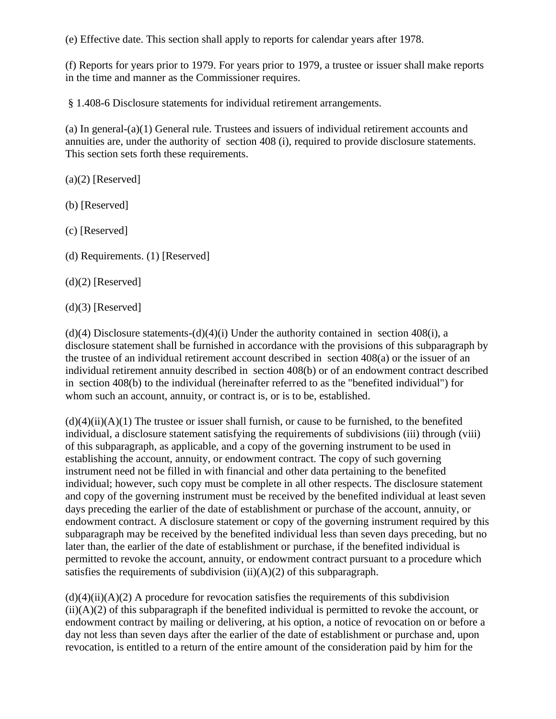(e) Effective date. This section shall apply to reports for calendar years after 1978.

(f) Reports for years prior to 1979. For years prior to 1979, a trustee or issuer shall make reports in the time and manner as the Commissioner requires.

§ 1.408-6 Disclosure statements for individual retirement arrangements.

(a) In general-(a)(1) General rule. Trustees and issuers of individual retirement accounts and annuities are, under the authority of section 408 (i), required to provide disclosure statements. This section sets forth these requirements.

 $(a)(2)$  [Reserved]

(b) [Reserved]

(c) [Reserved]

(d) Requirements. (1) [Reserved]

 $(d)(2)$  [Reserved]

 $(d)(3)$  [Reserved]

 $(d)(4)$  Disclosure statements- $(d)(4)(i)$  Under the authority contained in section 408(i), a disclosure statement shall be furnished in accordance with the provisions of this subparagraph by the trustee of an individual retirement account described in section 408(a) or the issuer of an individual retirement annuity described in section 408(b) or of an endowment contract described in section 408(b) to the individual (hereinafter referred to as the "benefited individual") for whom such an account, annuity, or contract is, or is to be, established.

 $(d)(4)(ii)(A)(1)$  The trustee or issuer shall furnish, or cause to be furnished, to the benefited individual, a disclosure statement satisfying the requirements of subdivisions (iii) through (viii) of this subparagraph, as applicable, and a copy of the governing instrument to be used in establishing the account, annuity, or endowment contract. The copy of such governing instrument need not be filled in with financial and other data pertaining to the benefited individual; however, such copy must be complete in all other respects. The disclosure statement and copy of the governing instrument must be received by the benefited individual at least seven days preceding the earlier of the date of establishment or purchase of the account, annuity, or endowment contract. A disclosure statement or copy of the governing instrument required by this subparagraph may be received by the benefited individual less than seven days preceding, but no later than, the earlier of the date of establishment or purchase, if the benefited individual is permitted to revoke the account, annuity, or endowment contract pursuant to a procedure which satisfies the requirements of subdivision  $(ii)(A)(2)$  of this subparagraph.

 $(d)(4)(ii)(A)(2)$  A procedure for revocation satisfies the requirements of this subdivision  $(ii)(A)(2)$  of this subparagraph if the benefited individual is permitted to revoke the account, or endowment contract by mailing or delivering, at his option, a notice of revocation on or before a day not less than seven days after the earlier of the date of establishment or purchase and, upon revocation, is entitled to a return of the entire amount of the consideration paid by him for the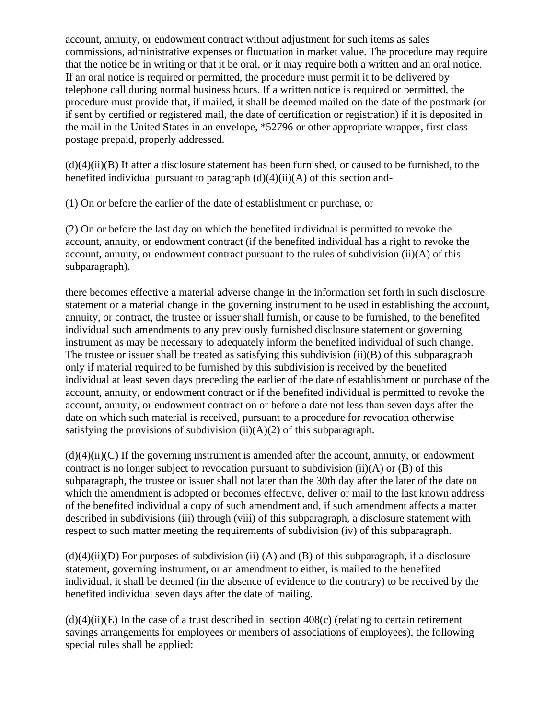account, annuity, or endowment contract without adjustment for such items as sales commissions, administrative expenses or fluctuation in market value. The procedure may require that the notice be in writing or that it be oral, or it may require both a written and an oral notice. If an oral notice is required or permitted, the procedure must permit it to be delivered by telephone call during normal business hours. If a written notice is required or permitted, the procedure must provide that, if mailed, it shall be deemed mailed on the date of the postmark (or if sent by certified or registered mail, the date of certification or registration) if it is deposited in the mail in the United States in an envelope, \*52796 or other appropriate wrapper, first class postage prepaid, properly addressed.

 $(d)(4)(ii)(B)$  If after a disclosure statement has been furnished, or caused to be furnished, to the benefited individual pursuant to paragraph  $(d)(4)(ii)(A)$  of this section and-

(1) On or before the earlier of the date of establishment or purchase, or

(2) On or before the last day on which the benefited individual is permitted to revoke the account, annuity, or endowment contract (if the benefited individual has a right to revoke the account, annuity, or endowment contract pursuant to the rules of subdivision  $(ii)(A)$  of this subparagraph).

there becomes effective a material adverse change in the information set forth in such disclosure statement or a material change in the governing instrument to be used in establishing the account, annuity, or contract, the trustee or issuer shall furnish, or cause to be furnished, to the benefited individual such amendments to any previously furnished disclosure statement or governing instrument as may be necessary to adequately inform the benefited individual of such change. The trustee or issuer shall be treated as satisfying this subdivision (ii)(B) of this subparagraph only if material required to be furnished by this subdivision is received by the benefited individual at least seven days preceding the earlier of the date of establishment or purchase of the account, annuity, or endowment contract or if the benefited individual is permitted to revoke the account, annuity, or endowment contract on or before a date not less than seven days after the date on which such material is received, pursuant to a procedure for revocation otherwise satisfying the provisions of subdivision  $(ii)(A)(2)$  of this subparagraph.

 $(d)(4)(ii)(C)$  If the governing instrument is amended after the account, annuity, or endowment contract is no longer subject to revocation pursuant to subdivision (ii)(A) or  $(B)$  of this subparagraph, the trustee or issuer shall not later than the 30th day after the later of the date on which the amendment is adopted or becomes effective, deliver or mail to the last known address of the benefited individual a copy of such amendment and, if such amendment affects a matter described in subdivisions (iii) through (viii) of this subparagraph, a disclosure statement with respect to such matter meeting the requirements of subdivision (iv) of this subparagraph.

 $(d)(4)(ii)(D)$  For purposes of subdivision (ii) (A) and (B) of this subparagraph, if a disclosure statement, governing instrument, or an amendment to either, is mailed to the benefited individual, it shall be deemed (in the absence of evidence to the contrary) to be received by the benefited individual seven days after the date of mailing.

 $(d)(4)(ii)(E)$  In the case of a trust described in section  $408(c)$  (relating to certain retirement savings arrangements for employees or members of associations of employees), the following special rules shall be applied: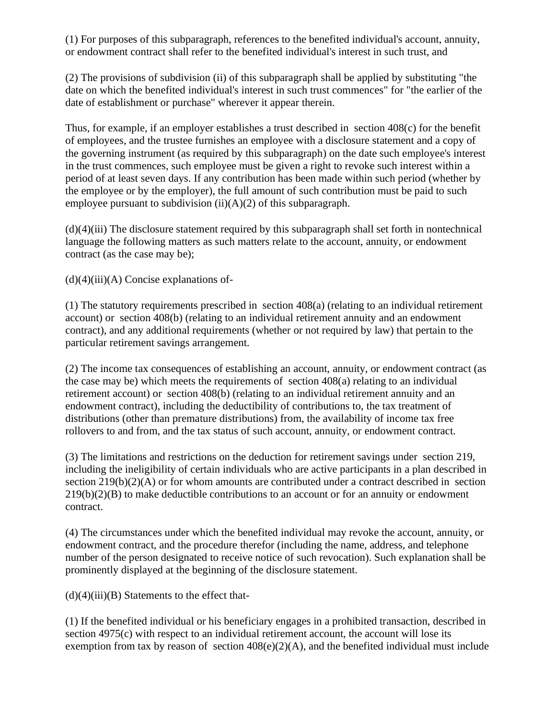(1) For purposes of this subparagraph, references to the benefited individual's account, annuity, or endowment contract shall refer to the benefited individual's interest in such trust, and

(2) The provisions of subdivision (ii) of this subparagraph shall be applied by substituting "the date on which the benefited individual's interest in such trust commences" for "the earlier of the date of establishment or purchase" wherever it appear therein.

Thus, for example, if an employer establishes a trust described in section 408(c) for the benefit of employees, and the trustee furnishes an employee with a disclosure statement and a copy of the governing instrument (as required by this subparagraph) on the date such employee's interest in the trust commences, such employee must be given a right to revoke such interest within a period of at least seven days. If any contribution has been made within such period (whether by the employee or by the employer), the full amount of such contribution must be paid to such employee pursuant to subdivision  $(ii)(A)(2)$  of this subparagraph.

 $(d)(4)(iii)$  The disclosure statement required by this subparagraph shall set forth in nontechnical language the following matters as such matters relate to the account, annuity, or endowment contract (as the case may be);

 $(d)(4)(iii)(A)$  Concise explanations of-

(1) The statutory requirements prescribed in section 408(a) (relating to an individual retirement account) or section 408(b) (relating to an individual retirement annuity and an endowment contract), and any additional requirements (whether or not required by law) that pertain to the particular retirement savings arrangement.

(2) The income tax consequences of establishing an account, annuity, or endowment contract (as the case may be) which meets the requirements of section 408(a) relating to an individual retirement account) or section 408(b) (relating to an individual retirement annuity and an endowment contract), including the deductibility of contributions to, the tax treatment of distributions (other than premature distributions) from, the availability of income tax free rollovers to and from, and the tax status of such account, annuity, or endowment contract.

(3) The limitations and restrictions on the deduction for retirement savings under section 219, including the ineligibility of certain individuals who are active participants in a plan described in section 219(b)(2)(A) or for whom amounts are contributed under a contract described in section 219(b)(2)(B) to make deductible contributions to an account or for an annuity or endowment contract.

(4) The circumstances under which the benefited individual may revoke the account, annuity, or endowment contract, and the procedure therefor (including the name, address, and telephone number of the person designated to receive notice of such revocation). Such explanation shall be prominently displayed at the beginning of the disclosure statement.

 $(d)(4)(iii)(B)$  Statements to the effect that-

(1) If the benefited individual or his beneficiary engages in a prohibited transaction, described in section 4975(c) with respect to an individual retirement account, the account will lose its exemption from tax by reason of section  $408(e)(2)(A)$ , and the benefited individual must include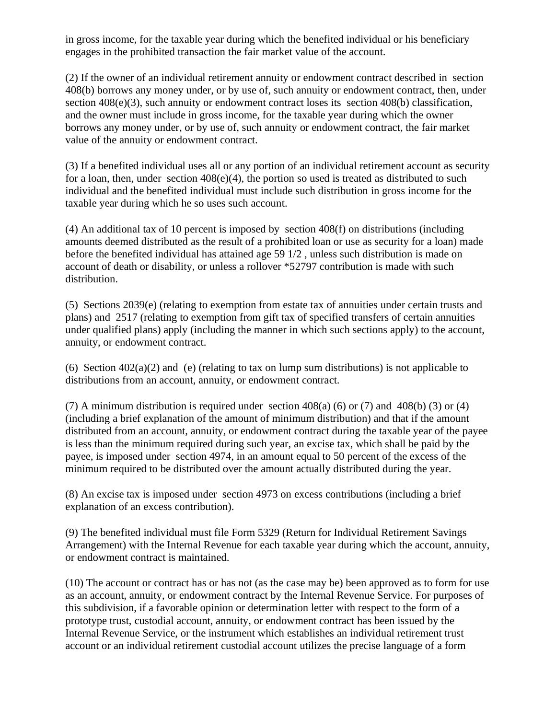in gross income, for the taxable year during which the benefited individual or his beneficiary engages in the prohibited transaction the fair market value of the account.

(2) If the owner of an individual retirement annuity or endowment contract described in section 408(b) borrows any money under, or by use of, such annuity or endowment contract, then, under section 408(e)(3), such annuity or endowment contract loses its section 408(b) classification, and the owner must include in gross income, for the taxable year during which the owner borrows any money under, or by use of, such annuity or endowment contract, the fair market value of the annuity or endowment contract.

(3) If a benefited individual uses all or any portion of an individual retirement account as security for a loan, then, under section 408(e)(4), the portion so used is treated as distributed to such individual and the benefited individual must include such distribution in gross income for the taxable year during which he so uses such account.

(4) An additional tax of 10 percent is imposed by section 408(f) on distributions (including amounts deemed distributed as the result of a prohibited loan or use as security for a loan) made before the benefited individual has attained age 59 1/2 , unless such distribution is made on account of death or disability, or unless a rollover \*52797 contribution is made with such distribution.

(5) Sections 2039(e) (relating to exemption from estate tax of annuities under certain trusts and plans) and 2517 (relating to exemption from gift tax of specified transfers of certain annuities under qualified plans) apply (including the manner in which such sections apply) to the account, annuity, or endowment contract.

(6) Section  $402(a)(2)$  and (e) (relating to tax on lump sum distributions) is not applicable to distributions from an account, annuity, or endowment contract.

(7) A minimum distribution is required under section  $408(a)$  (6) or (7) and  $408(b)$  (3) or (4) (including a brief explanation of the amount of minimum distribution) and that if the amount distributed from an account, annuity, or endowment contract during the taxable year of the payee is less than the minimum required during such year, an excise tax, which shall be paid by the payee, is imposed under section 4974, in an amount equal to 50 percent of the excess of the minimum required to be distributed over the amount actually distributed during the year.

(8) An excise tax is imposed under section 4973 on excess contributions (including a brief explanation of an excess contribution).

(9) The benefited individual must file Form 5329 (Return for Individual Retirement Savings Arrangement) with the Internal Revenue for each taxable year during which the account, annuity, or endowment contract is maintained.

(10) The account or contract has or has not (as the case may be) been approved as to form for use as an account, annuity, or endowment contract by the Internal Revenue Service. For purposes of this subdivision, if a favorable opinion or determination letter with respect to the form of a prototype trust, custodial account, annuity, or endowment contract has been issued by the Internal Revenue Service, or the instrument which establishes an individual retirement trust account or an individual retirement custodial account utilizes the precise language of a form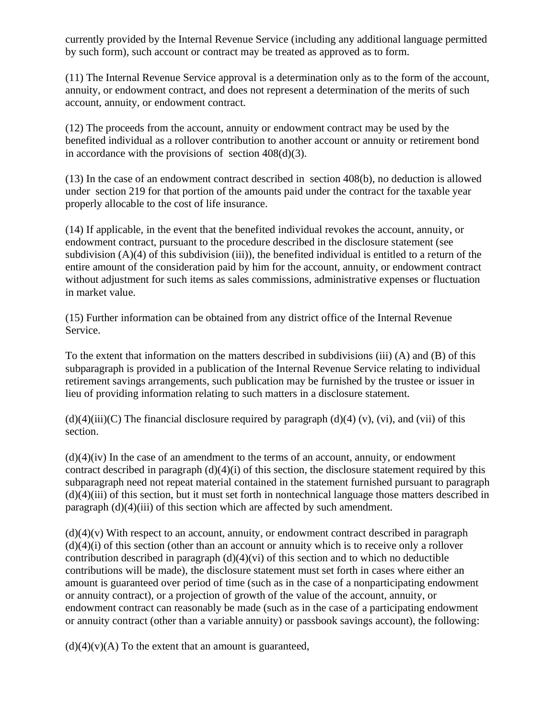currently provided by the Internal Revenue Service (including any additional language permitted by such form), such account or contract may be treated as approved as to form.

(11) The Internal Revenue Service approval is a determination only as to the form of the account, annuity, or endowment contract, and does not represent a determination of the merits of such account, annuity, or endowment contract.

(12) The proceeds from the account, annuity or endowment contract may be used by the benefited individual as a rollover contribution to another account or annuity or retirement bond in accordance with the provisions of section  $408(d)(3)$ .

(13) In the case of an endowment contract described in section 408(b), no deduction is allowed under section 219 for that portion of the amounts paid under the contract for the taxable year properly allocable to the cost of life insurance.

(14) If applicable, in the event that the benefited individual revokes the account, annuity, or endowment contract, pursuant to the procedure described in the disclosure statement (see subdivision (A)(4) of this subdivision (iii)), the benefited individual is entitled to a return of the entire amount of the consideration paid by him for the account, annuity, or endowment contract without adjustment for such items as sales commissions, administrative expenses or fluctuation in market value.

(15) Further information can be obtained from any district office of the Internal Revenue Service.

To the extent that information on the matters described in subdivisions (iii) (A) and (B) of this subparagraph is provided in a publication of the Internal Revenue Service relating to individual retirement savings arrangements, such publication may be furnished by the trustee or issuer in lieu of providing information relating to such matters in a disclosure statement.

 $(d)(4)(iii)(C)$  The financial disclosure required by paragraph  $(d)(4)(v)$ ,  $(vi)$ , and  $(vii)$  of this section.

 $(d)(4)(iv)$  In the case of an amendment to the terms of an account, annuity, or endowment contract described in paragraph  $(d)(4)(i)$  of this section, the disclosure statement required by this subparagraph need not repeat material contained in the statement furnished pursuant to paragraph  $(d)(4)(iii)$  of this section, but it must set forth in nontechnical language those matters described in paragraph (d)(4)(iii) of this section which are affected by such amendment.

 $(d)(4)(v)$  With respect to an account, annuity, or endowment contract described in paragraph  $(d)(4)(i)$  of this section (other than an account or annuity which is to receive only a rollover contribution described in paragraph  $(d)(4)(vi)$  of this section and to which no deductible contributions will be made), the disclosure statement must set forth in cases where either an amount is guaranteed over period of time (such as in the case of a nonparticipating endowment or annuity contract), or a projection of growth of the value of the account, annuity, or endowment contract can reasonably be made (such as in the case of a participating endowment or annuity contract (other than a variable annuity) or passbook savings account), the following:

 $(d)(4)(v)(A)$  To the extent that an amount is guaranteed,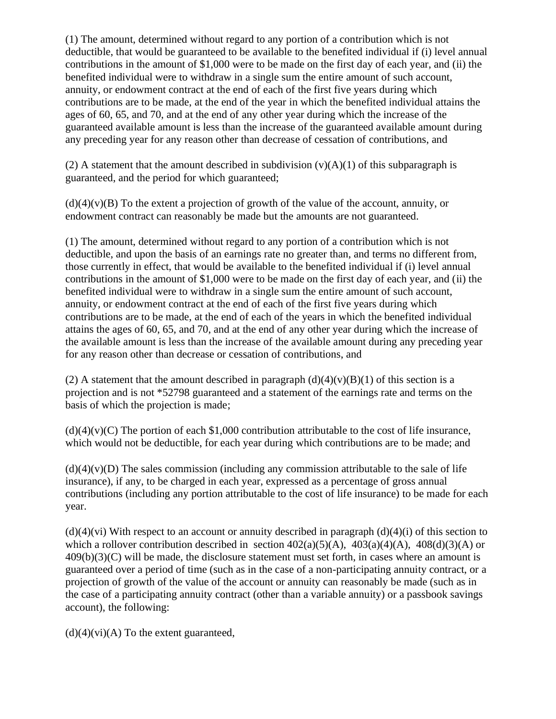(1) The amount, determined without regard to any portion of a contribution which is not deductible, that would be guaranteed to be available to the benefited individual if (i) level annual contributions in the amount of \$1,000 were to be made on the first day of each year, and (ii) the benefited individual were to withdraw in a single sum the entire amount of such account, annuity, or endowment contract at the end of each of the first five years during which contributions are to be made, at the end of the year in which the benefited individual attains the ages of 60, 65, and 70, and at the end of any other year during which the increase of the guaranteed available amount is less than the increase of the guaranteed available amount during any preceding year for any reason other than decrease of cessation of contributions, and

(2) A statement that the amount described in subdivision  $(v)(A)(1)$  of this subparagraph is guaranteed, and the period for which guaranteed;

 $(d)(4)(v)(B)$  To the extent a projection of growth of the value of the account, annuity, or endowment contract can reasonably be made but the amounts are not guaranteed.

(1) The amount, determined without regard to any portion of a contribution which is not deductible, and upon the basis of an earnings rate no greater than, and terms no different from, those currently in effect, that would be available to the benefited individual if (i) level annual contributions in the amount of \$1,000 were to be made on the first day of each year, and (ii) the benefited individual were to withdraw in a single sum the entire amount of such account, annuity, or endowment contract at the end of each of the first five years during which contributions are to be made, at the end of each of the years in which the benefited individual attains the ages of 60, 65, and 70, and at the end of any other year during which the increase of the available amount is less than the increase of the available amount during any preceding year for any reason other than decrease or cessation of contributions, and

(2) A statement that the amount described in paragraph  $(d)(4)(v)(B)(1)$  of this section is a projection and is not \*52798 guaranteed and a statement of the earnings rate and terms on the basis of which the projection is made;

 $(d)(4)(v)(C)$  The portion of each \$1,000 contribution attributable to the cost of life insurance, which would not be deductible, for each year during which contributions are to be made; and

 $(d)(4)(v)(D)$  The sales commission (including any commission attributable to the sale of life insurance), if any, to be charged in each year, expressed as a percentage of gross annual contributions (including any portion attributable to the cost of life insurance) to be made for each year.

 $(d)(4)(vi)$  With respect to an account or annuity described in paragraph  $(d)(4)(i)$  of this section to which a rollover contribution described in section  $402(a)(5)(A)$ ,  $403(a)(4)(A)$ ,  $408(d)(3)(A)$  or  $409(b)(3)(C)$  will be made, the disclosure statement must set forth, in cases where an amount is guaranteed over a period of time (such as in the case of a non-participating annuity contract, or a projection of growth of the value of the account or annuity can reasonably be made (such as in the case of a participating annuity contract (other than a variable annuity) or a passbook savings account), the following:

 $(d)(4)(vi)(A)$  To the extent guaranteed,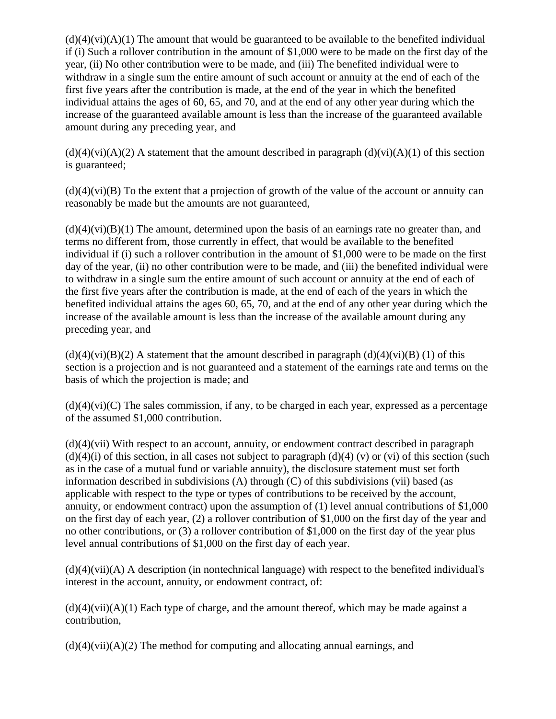$(d)(4)(vi)(A)(1)$  The amount that would be guaranteed to be available to the benefited individual if (i) Such a rollover contribution in the amount of \$1,000 were to be made on the first day of the year, (ii) No other contribution were to be made, and (iii) The benefited individual were to withdraw in a single sum the entire amount of such account or annuity at the end of each of the first five years after the contribution is made, at the end of the year in which the benefited individual attains the ages of 60, 65, and 70, and at the end of any other year during which the increase of the guaranteed available amount is less than the increase of the guaranteed available amount during any preceding year, and

 $(d)(4)(vi)(A)(2)$  A statement that the amount described in paragraph  $(d)(vi)(A)(1)$  of this section is guaranteed;

 $(d)(4)(vi)(B)$  To the extent that a projection of growth of the value of the account or annuity can reasonably be made but the amounts are not guaranteed,

 $(d)(4)(vi)(B)(1)$  The amount, determined upon the basis of an earnings rate no greater than, and terms no different from, those currently in effect, that would be available to the benefited individual if (i) such a rollover contribution in the amount of \$1,000 were to be made on the first day of the year, (ii) no other contribution were to be made, and (iii) the benefited individual were to withdraw in a single sum the entire amount of such account or annuity at the end of each of the first five years after the contribution is made, at the end of each of the years in which the benefited individual attains the ages 60, 65, 70, and at the end of any other year during which the increase of the available amount is less than the increase of the available amount during any preceding year, and

 $(d)(4)(vi)(B)(2)$  A statement that the amount described in paragraph  $(d)(4)(vi)(B)(1)$  of this section is a projection and is not guaranteed and a statement of the earnings rate and terms on the basis of which the projection is made; and

 $(d)(4)(vi)(C)$  The sales commission, if any, to be charged in each year, expressed as a percentage of the assumed \$1,000 contribution.

 $(d)(4)(vii)$  With respect to an account, annuity, or endowment contract described in paragraph  $(d)(4)(i)$  of this section, in all cases not subject to paragraph  $(d)(4)$  (v) or (vi) of this section (such as in the case of a mutual fund or variable annuity), the disclosure statement must set forth information described in subdivisions (A) through (C) of this subdivisions (vii) based (as applicable with respect to the type or types of contributions to be received by the account, annuity, or endowment contract) upon the assumption of (1) level annual contributions of \$1,000 on the first day of each year, (2) a rollover contribution of \$1,000 on the first day of the year and no other contributions, or (3) a rollover contribution of \$1,000 on the first day of the year plus level annual contributions of \$1,000 on the first day of each year.

 $(d)(4)(vii)(A)$  A description (in nontechnical language) with respect to the benefited individual's interest in the account, annuity, or endowment contract, of:

 $(d)(4)(vi)(A)(1)$  Each type of charge, and the amount thereof, which may be made against a contribution,

 $(d)(4)(vi)(A)(2)$  The method for computing and allocating annual earnings, and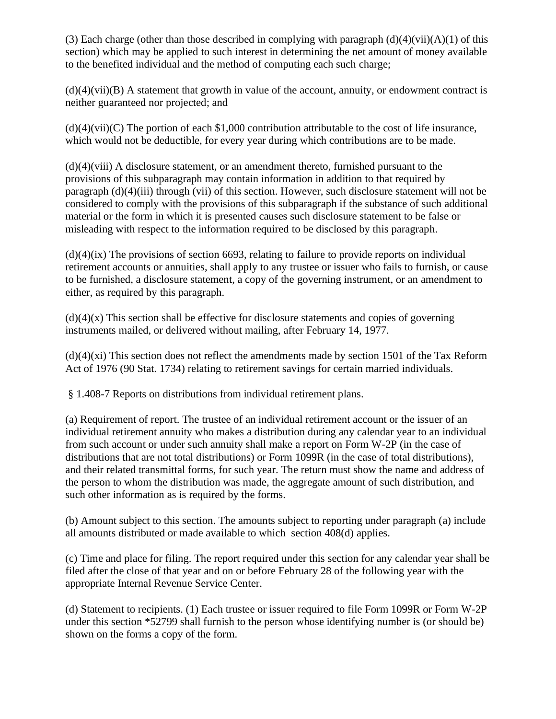(3) Each charge (other than those described in complying with paragraph  $(d)(4)(vi)(A)(1)$  of this section) which may be applied to such interest in determining the net amount of money available to the benefited individual and the method of computing each such charge;

 $(d)(4)(vi)(B)$  A statement that growth in value of the account, annuity, or endowment contract is neither guaranteed nor projected; and

 $(d)(4)(vi)(C)$  The portion of each \$1,000 contribution attributable to the cost of life insurance, which would not be deductible, for every year during which contributions are to be made.

(d)(4)(viii) A disclosure statement, or an amendment thereto, furnished pursuant to the provisions of this subparagraph may contain information in addition to that required by paragraph (d)(4)(iii) through (vii) of this section. However, such disclosure statement will not be considered to comply with the provisions of this subparagraph if the substance of such additional material or the form in which it is presented causes such disclosure statement to be false or misleading with respect to the information required to be disclosed by this paragraph.

 $(d)(4)(ix)$  The provisions of section 6693, relating to failure to provide reports on individual retirement accounts or annuities, shall apply to any trustee or issuer who fails to furnish, or cause to be furnished, a disclosure statement, a copy of the governing instrument, or an amendment to either, as required by this paragraph.

 $(d)(4)(x)$  This section shall be effective for disclosure statements and copies of governing instruments mailed, or delivered without mailing, after February 14, 1977.

 $(d)(4)(x)$  This section does not reflect the amendments made by section 1501 of the Tax Reform Act of 1976 (90 Stat. 1734) relating to retirement savings for certain married individuals.

§ 1.408-7 Reports on distributions from individual retirement plans.

(a) Requirement of report. The trustee of an individual retirement account or the issuer of an individual retirement annuity who makes a distribution during any calendar year to an individual from such account or under such annuity shall make a report on Form W-2P (in the case of distributions that are not total distributions) or Form 1099R (in the case of total distributions), and their related transmittal forms, for such year. The return must show the name and address of the person to whom the distribution was made, the aggregate amount of such distribution, and such other information as is required by the forms.

(b) Amount subject to this section. The amounts subject to reporting under paragraph (a) include all amounts distributed or made available to which section 408(d) applies.

(c) Time and place for filing. The report required under this section for any calendar year shall be filed after the close of that year and on or before February 28 of the following year with the appropriate Internal Revenue Service Center.

(d) Statement to recipients. (1) Each trustee or issuer required to file Form 1099R or Form W-2P under this section \*52799 shall furnish to the person whose identifying number is (or should be) shown on the forms a copy of the form.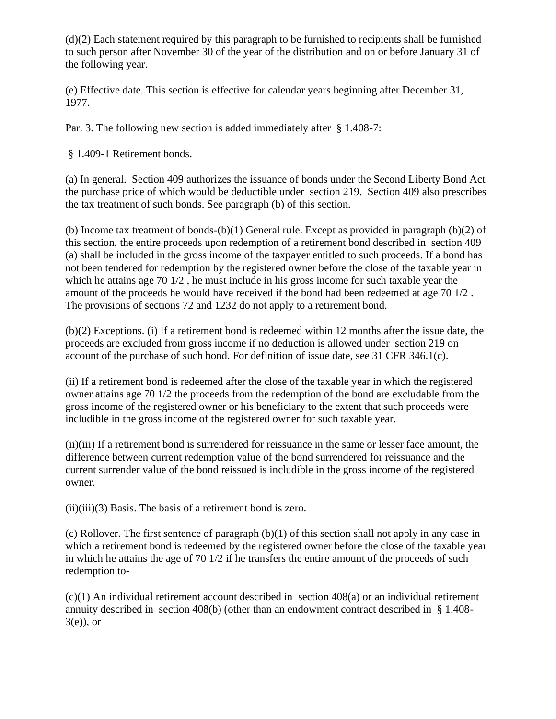(d)(2) Each statement required by this paragraph to be furnished to recipients shall be furnished to such person after November 30 of the year of the distribution and on or before January 31 of the following year.

(e) Effective date. This section is effective for calendar years beginning after December 31, 1977.

Par. 3. The following new section is added immediately after § 1.408-7:

§ 1.409-1 Retirement bonds.

(a) In general. Section 409 authorizes the issuance of bonds under the Second Liberty Bond Act the purchase price of which would be deductible under section 219. Section 409 also prescribes the tax treatment of such bonds. See paragraph (b) of this section.

(b) Income tax treatment of bonds-(b)(1) General rule. Except as provided in paragraph (b)(2) of this section, the entire proceeds upon redemption of a retirement bond described in section 409 (a) shall be included in the gross income of the taxpayer entitled to such proceeds. If a bond has not been tendered for redemption by the registered owner before the close of the taxable year in which he attains age 70 1/2 , he must include in his gross income for such taxable year the amount of the proceeds he would have received if the bond had been redeemed at age 70 1/2 . The provisions of sections 72 and 1232 do not apply to a retirement bond.

(b)(2) Exceptions. (i) If a retirement bond is redeemed within 12 months after the issue date, the proceeds are excluded from gross income if no deduction is allowed under section 219 on account of the purchase of such bond. For definition of issue date, see 31 CFR 346.1(c).

(ii) If a retirement bond is redeemed after the close of the taxable year in which the registered owner attains age 70 1/2 the proceeds from the redemption of the bond are excludable from the gross income of the registered owner or his beneficiary to the extent that such proceeds were includible in the gross income of the registered owner for such taxable year.

(ii)(iii) If a retirement bond is surrendered for reissuance in the same or lesser face amount, the difference between current redemption value of the bond surrendered for reissuance and the current surrender value of the bond reissued is includible in the gross income of the registered owner.

 $(ii)(iii)(3)$  Basis. The basis of a retirement bond is zero.

(c) Rollover. The first sentence of paragraph  $(b)(1)$  of this section shall not apply in any case in which a retirement bond is redeemed by the registered owner before the close of the taxable year in which he attains the age of  $70 \frac{1}{2}$  if he transfers the entire amount of the proceeds of such redemption to-

(c)(1) An individual retirement account described in section 408(a) or an individual retirement annuity described in section 408(b) (other than an endowment contract described in § 1.408-  $3(e)$ , or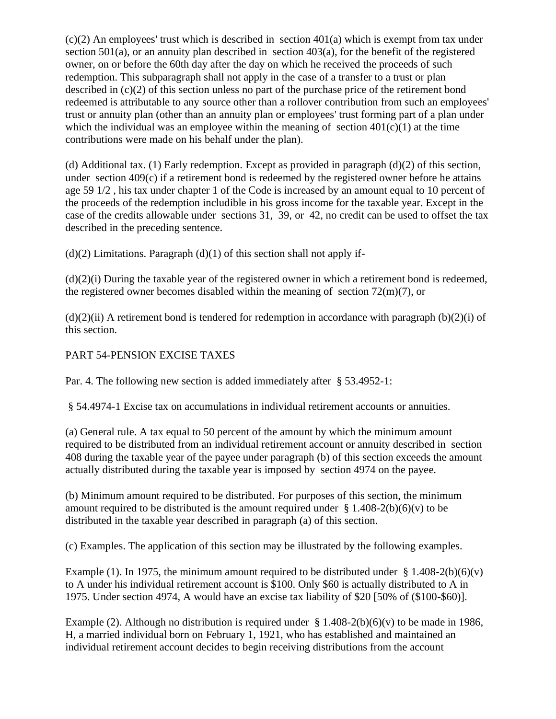$(c)(2)$  An employees' trust which is described in section 401(a) which is exempt from tax under section 501(a), or an annuity plan described in section 403(a), for the benefit of the registered owner, on or before the 60th day after the day on which he received the proceeds of such redemption. This subparagraph shall not apply in the case of a transfer to a trust or plan described in (c)(2) of this section unless no part of the purchase price of the retirement bond redeemed is attributable to any source other than a rollover contribution from such an employees' trust or annuity plan (other than an annuity plan or employees' trust forming part of a plan under which the individual was an employee within the meaning of section  $401(c)(1)$  at the time contributions were made on his behalf under the plan).

(d) Additional tax. (1) Early redemption. Except as provided in paragraph (d)(2) of this section, under section 409(c) if a retirement bond is redeemed by the registered owner before he attains age 59 1/2 , his tax under chapter 1 of the Code is increased by an amount equal to 10 percent of the proceeds of the redemption includible in his gross income for the taxable year. Except in the case of the credits allowable under sections 31, 39, or 42, no credit can be used to offset the tax described in the preceding sentence.

 $(d)(2)$  Limitations. Paragraph  $(d)(1)$  of this section shall not apply if-

 $(d)(2)(i)$  During the taxable year of the registered owner in which a retirement bond is redeemed, the registered owner becomes disabled within the meaning of section 72(m)(7), or

 $(d)(2)(ii)$  A retirement bond is tendered for redemption in accordance with paragraph  $(b)(2)(i)$  of this section.

#### PART 54-PENSION EXCISE TAXES

Par. 4. The following new section is added immediately after § 53.4952-1:

§ 54.4974-1 Excise tax on accumulations in individual retirement accounts or annuities.

(a) General rule. A tax equal to 50 percent of the amount by which the minimum amount required to be distributed from an individual retirement account or annuity described in section 408 during the taxable year of the payee under paragraph (b) of this section exceeds the amount actually distributed during the taxable year is imposed by section 4974 on the payee.

(b) Minimum amount required to be distributed. For purposes of this section, the minimum amount required to be distributed is the amount required under § 1.408-2(b)(6)(v) to be distributed in the taxable year described in paragraph (a) of this section.

(c) Examples. The application of this section may be illustrated by the following examples.

Example (1). In 1975, the minimum amount required to be distributed under  $\S$  1.408-2(b)(6)(v) to A under his individual retirement account is \$100. Only \$60 is actually distributed to A in 1975. Under section 4974, A would have an excise tax liability of \$20 [50% of (\$100-\$60)].

Example (2). Although no distribution is required under  $\S$  1.408-2(b)(6)(v) to be made in 1986, H, a married individual born on February 1, 1921, who has established and maintained an individual retirement account decides to begin receiving distributions from the account